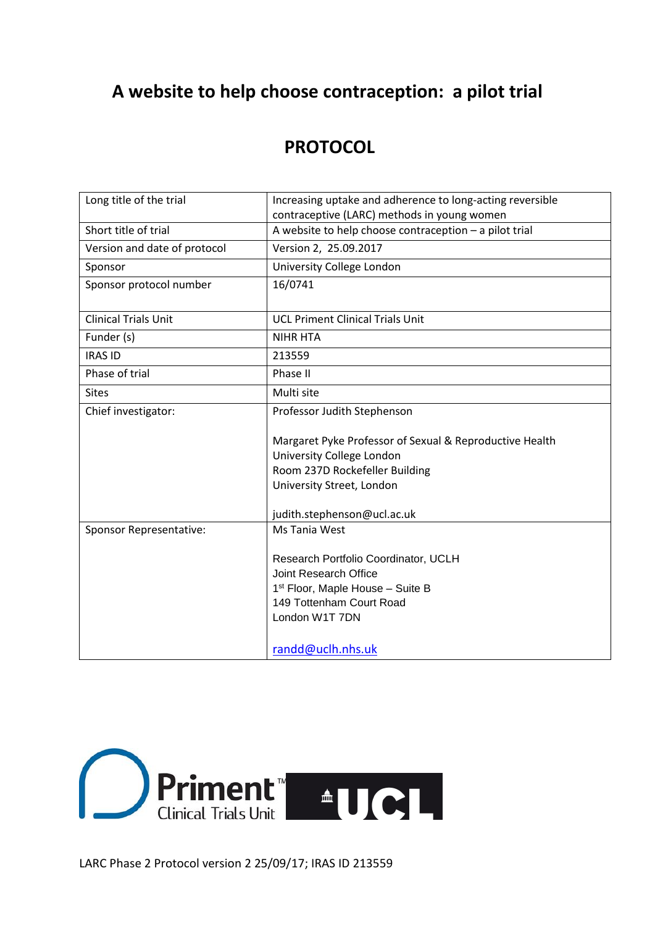# **A website to help choose contraception: a pilot trial**

# **PROTOCOL**

| Long title of the trial      | Increasing uptake and adherence to long-acting reversible<br>contraceptive (LARC) methods in young women |  |  |  |
|------------------------------|----------------------------------------------------------------------------------------------------------|--|--|--|
| Short title of trial         | A website to help choose contraception - a pilot trial                                                   |  |  |  |
| Version and date of protocol | Version 2, 25.09.2017                                                                                    |  |  |  |
| Sponsor                      | University College London                                                                                |  |  |  |
| Sponsor protocol number      | 16/0741                                                                                                  |  |  |  |
| <b>Clinical Trials Unit</b>  | <b>UCL Priment Clinical Trials Unit</b>                                                                  |  |  |  |
| Funder (s)                   | <b>NIHR HTA</b>                                                                                          |  |  |  |
| <b>IRAS ID</b>               | 213559                                                                                                   |  |  |  |
| Phase of trial               | Phase II                                                                                                 |  |  |  |
| <b>Sites</b>                 | Multi site                                                                                               |  |  |  |
| Chief investigator:          | Professor Judith Stephenson                                                                              |  |  |  |
|                              | Margaret Pyke Professor of Sexual & Reproductive Health                                                  |  |  |  |
|                              | University College London                                                                                |  |  |  |
|                              | Room 237D Rockefeller Building                                                                           |  |  |  |
|                              | University Street, London                                                                                |  |  |  |
|                              | judith.stephenson@ucl.ac.uk                                                                              |  |  |  |
| Sponsor Representative:      | Ms Tania West                                                                                            |  |  |  |
|                              | Research Portfolio Coordinator, UCLH                                                                     |  |  |  |
|                              | Joint Research Office                                                                                    |  |  |  |
|                              | 1 <sup>st</sup> Floor, Maple House - Suite B                                                             |  |  |  |
|                              | 149 Tottenham Court Road                                                                                 |  |  |  |
|                              | London W1T 7DN                                                                                           |  |  |  |
|                              | randd@uclh.nhs.uk                                                                                        |  |  |  |



LARC Phase 2 Protocol version 2 25/09/17; IRAS ID 213559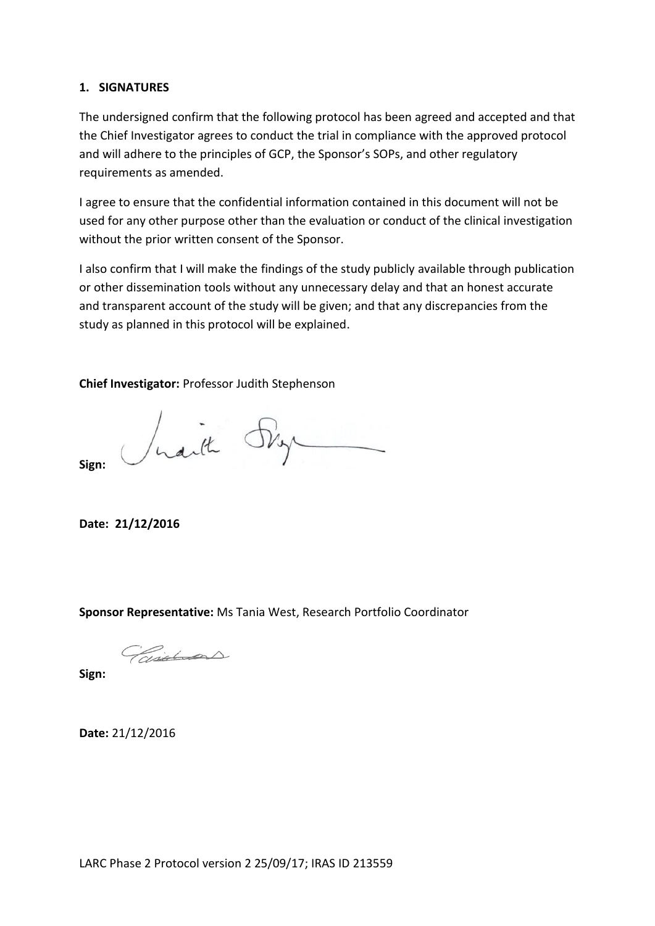#### <span id="page-1-0"></span>**1. SIGNATURES**

The undersigned confirm that the following protocol has been agreed and accepted and that the Chief Investigator agrees to conduct the trial in compliance with the approved protocol and will adhere to the principles of GCP, the Sponsor's SOPs, and other regulatory requirements as amended.

I agree to ensure that the confidential information contained in this document will not be used for any other purpose other than the evaluation or conduct of the clinical investigation without the prior written consent of the Sponsor.

I also confirm that I will make the findings of the study publicly available through publication or other dissemination tools without any unnecessary delay and that an honest accurate and transparent account of the study will be given; and that any discrepancies from the study as planned in this protocol will be explained.

**Chief Investigator:** Professor Judith Stephenson

Jusith Sky

**Sign:**

**Date: 21/12/2016**

**Sponsor Representative:** Ms Tania West, Research Portfolio Coordinator

Paintinos

**Sign:**

**Date:** 21/12/2016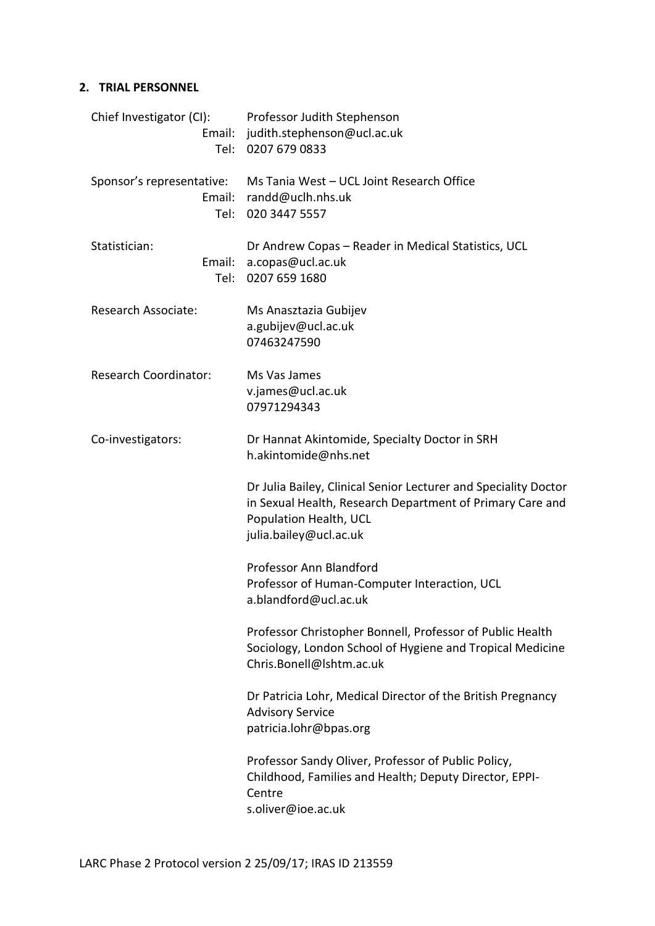# <span id="page-2-0"></span>**2. TRIAL PERSONNEL**

| Chief Investigator (CI):<br>Tel:            | Professor Judith Stephenson<br>Email: judith.stephenson@ucl.ac.uk<br>0207 679 0833                                                                                               |
|---------------------------------------------|----------------------------------------------------------------------------------------------------------------------------------------------------------------------------------|
| Sponsor's representative:<br>Email:<br>Tel: | Ms Tania West - UCL Joint Research Office<br>randd@uclh.nhs.uk<br>020 3447 5557                                                                                                  |
| Statistician:<br>Email:<br>Tel:             | Dr Andrew Copas - Reader in Medical Statistics, UCL<br>a.copas@ucl.ac.uk<br>0207 659 1680                                                                                        |
| Research Associate:                         | Ms Anasztazia Gubijev<br>a.gubijev@ucl.ac.uk<br>07463247590                                                                                                                      |
| <b>Research Coordinator:</b>                | Ms Vas James<br>v.james@ucl.ac.uk<br>07971294343                                                                                                                                 |
| Co-investigators:                           | Dr Hannat Akintomide, Specialty Doctor in SRH<br>h.akintomide@nhs.net                                                                                                            |
|                                             | Dr Julia Bailey, Clinical Senior Lecturer and Speciality Doctor<br>in Sexual Health, Research Department of Primary Care and<br>Population Health, UCL<br>julia.bailey@ucl.ac.uk |
|                                             | Professor Ann Blandford<br>Professor of Human-Computer Interaction, UCL<br>a.blandford@ucl.ac.uk                                                                                 |
|                                             | Professor Christopher Bonnell, Professor of Public Health<br>Sociology, London School of Hygiene and Tropical Medicine<br>Chris.Bonell@Ishtm.ac.uk                               |
|                                             | Dr Patricia Lohr, Medical Director of the British Pregnancy<br><b>Advisory Service</b><br>patricia.lohr@bpas.org                                                                 |
|                                             | Professor Sandy Oliver, Professor of Public Policy,<br>Childhood, Families and Health; Deputy Director, EPPI-<br>Centre<br>s.oliver@ioe.ac.uk                                    |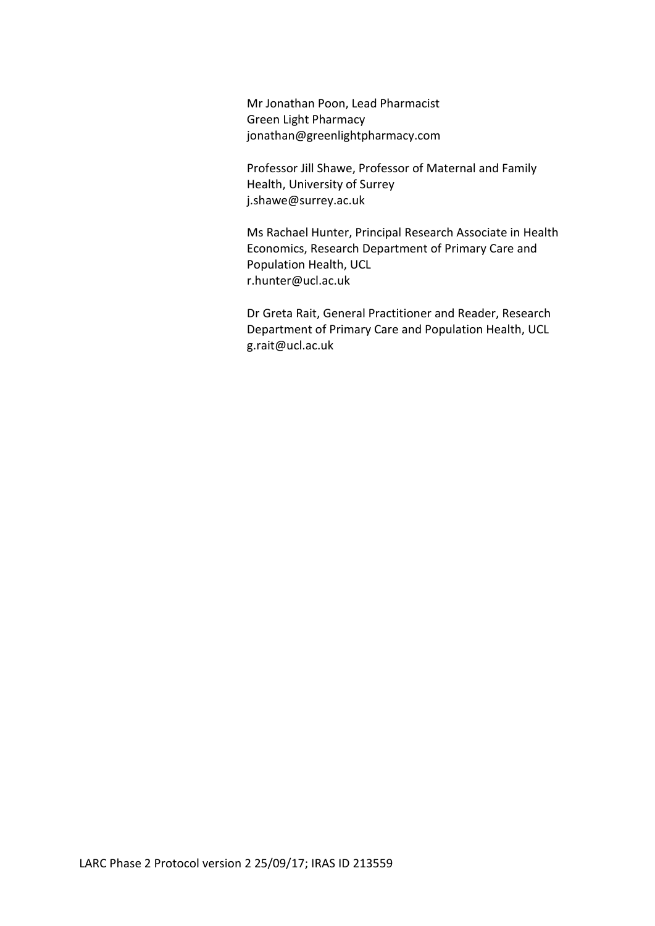Mr Jonathan Poon, Lead Pharmacist Green Light Pharmacy jonathan@greenlightpharmacy.com

Professor Jill Shawe, Professor of Maternal and Family Health, University of Surrey j.shawe@surrey.ac.uk

Ms Rachael Hunter, Principal Research Associate in Health Economics, Research Department of Primary Care and Population Health, UCL r.hunter@ucl.ac.uk

Dr Greta Rait, General Practitioner and Reader, Research Department of Primary Care and Population Health, UCL g.rait@ucl.ac.uk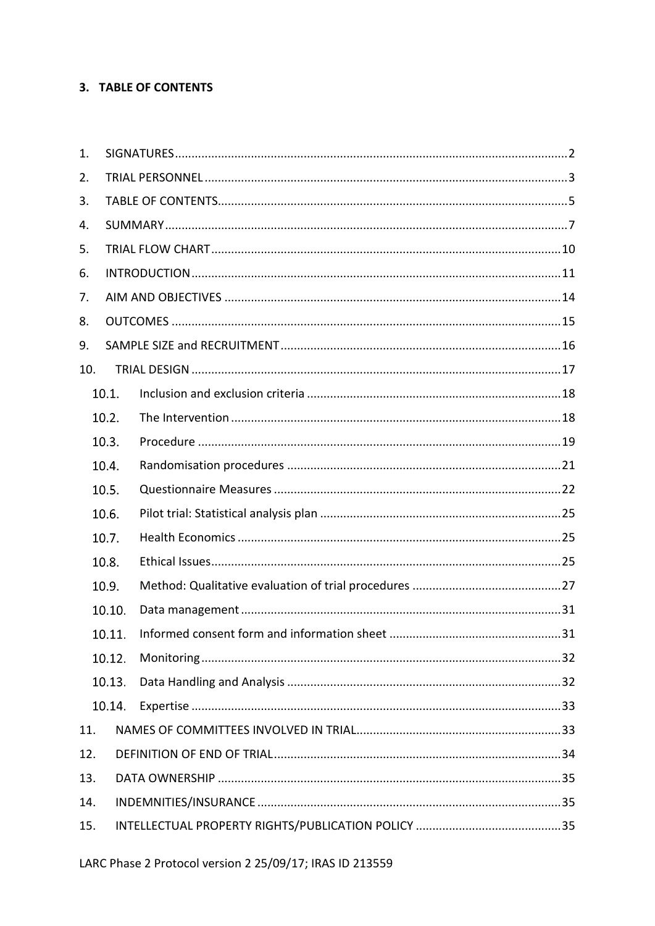### <span id="page-4-0"></span>3. TABLE OF CONTENTS

| 1.  |        |  |
|-----|--------|--|
| 2.  |        |  |
| 3.  |        |  |
| 4.  |        |  |
| 5.  |        |  |
| 6.  |        |  |
| 7.  |        |  |
| 8.  |        |  |
| 9.  |        |  |
| 10. |        |  |
|     | 10.1.  |  |
|     | 10.2.  |  |
|     | 10.3.  |  |
|     | 10.4.  |  |
|     | 10.5.  |  |
|     | 10.6.  |  |
|     | 10.7.  |  |
|     | 10.8.  |  |
|     | 10.9.  |  |
|     | 10.10. |  |
|     | 10.11. |  |
|     | 10.12. |  |
|     | 10.13. |  |
|     | 10.14. |  |
| 11. |        |  |
| 12. |        |  |
| 13. |        |  |
| 14. |        |  |
| 15. |        |  |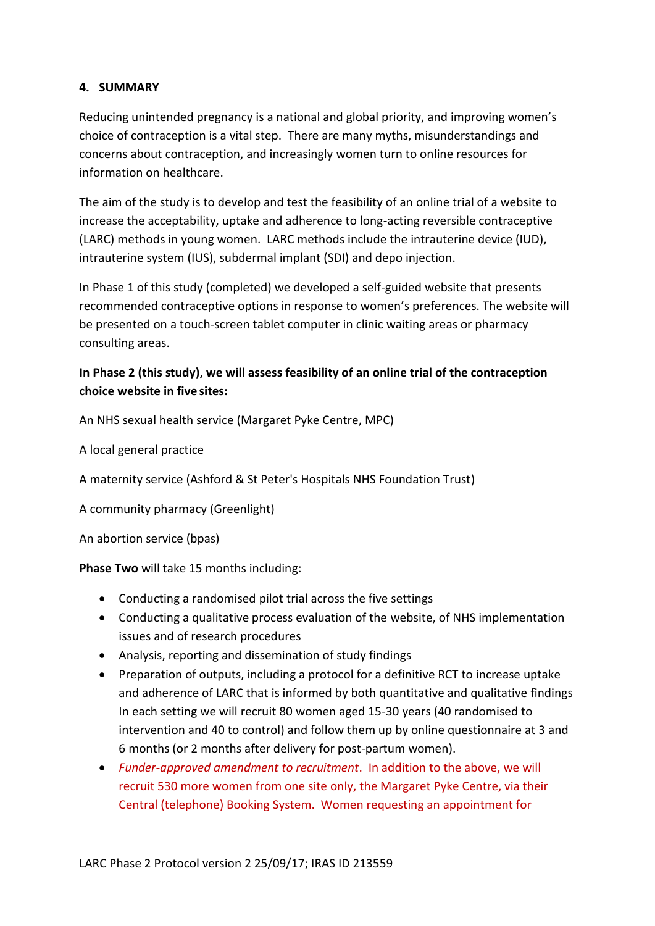### <span id="page-6-0"></span>**4. SUMMARY**

Reducing unintended pregnancy is a national and global priority, and improving women's choice of contraception is a vital step. There are many myths, misunderstandings and concerns about contraception, and increasingly women turn to online resources for information on healthcare.

The aim of the study is to develop and test the feasibility of an online trial of a website to increase the acceptability, uptake and adherence to long-acting reversible contraceptive (LARC) methods in young women. LARC methods include the intrauterine device (IUD), intrauterine system (IUS), subdermal implant (SDI) and depo injection.

In Phase 1 of this study (completed) we developed a self-guided website that presents recommended contraceptive options in response to women's preferences. The website will be presented on a touch-screen tablet computer in clinic waiting areas or pharmacy consulting areas.

# **In Phase 2 (this study), we will assess feasibility of an online trial of the contraception choice website in five sites:**

An NHS sexual health service (Margaret Pyke Centre, MPC)

A local general practice

A maternity service (Ashford & St Peter's Hospitals NHS Foundation Trust)

A community pharmacy (Greenlight)

An abortion service (bpas)

**Phase Two** will take 15 months including:

- Conducting a randomised pilot trial across the five settings
- Conducting a qualitative process evaluation of the website, of NHS implementation issues and of research procedures
- Analysis, reporting and dissemination of study findings
- Preparation of outputs, including a protocol for a definitive RCT to increase uptake and adherence of LARC that is informed by both quantitative and qualitative findings In each setting we will recruit 80 women aged 15-30 years (40 randomised to intervention and 40 to control) and follow them up by online questionnaire at 3 and 6 months (or 2 months after delivery for post-partum women).
- *Funder-approved amendment to recruitment*. In addition to the above, we will recruit 530 more women from one site only, the Margaret Pyke Centre, via their Central (telephone) Booking System. Women requesting an appointment for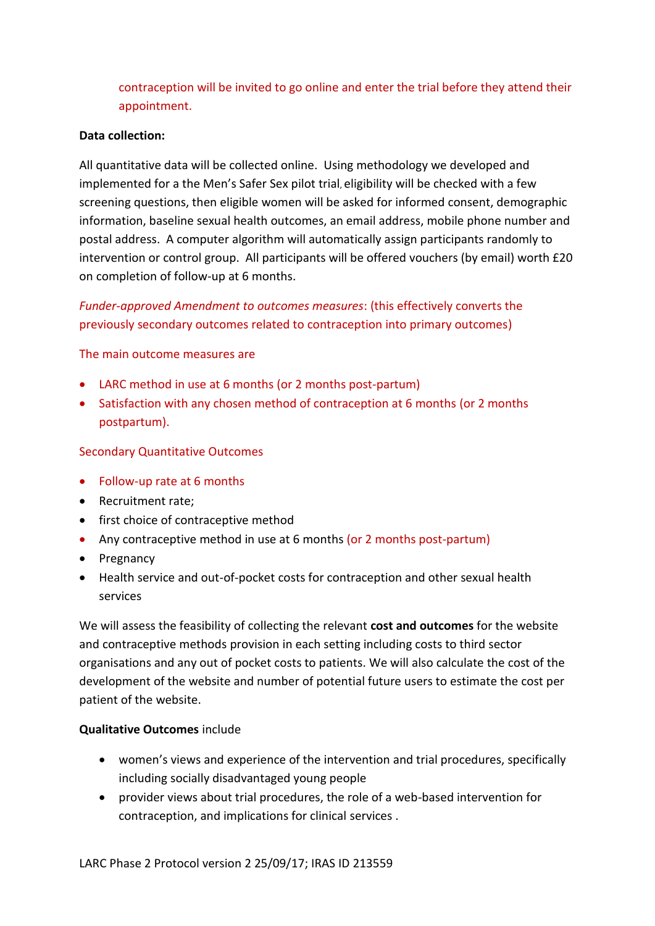contraception will be invited to go online and enter the trial before they attend their appointment.

#### **Data collection:**

All quantitative data will be collected online. Using methodology we developed and implemented for a the Men's Safer Sex pilot trial, eligibility will be checked with a few screening questions, then eligible women will be asked for informed consent, demographic information, baseline sexual health outcomes, an email address, mobile phone number and postal address. A computer algorithm will automatically assign participants randomly to intervention or control group. All participants will be offered vouchers (by email) worth £20 on completion of follow-up at 6 months.

# *Funder-approved Amendment to outcomes measures*: (this effectively converts the previously secondary outcomes related to contraception into primary outcomes)

The main outcome measures are

- LARC method in use at 6 months (or 2 months post-partum)
- Satisfaction with any chosen method of contraception at 6 months (or 2 months postpartum).

#### Secondary Quantitative Outcomes

- Follow-up rate at 6 months
- Recruitment rate:
- first choice of contraceptive method
- Any contraceptive method in use at 6 months (or 2 months post-partum)
- Pregnancy
- Health service and out-of-pocket costs for contraception and other sexual health services

We will assess the feasibility of collecting the relevant **cost and outcomes** for the website and contraceptive methods provision in each setting including costs to third sector organisations and any out of pocket costs to patients. We will also calculate the cost of the development of the website and number of potential future users to estimate the cost per patient of the website.

#### **Qualitative Outcomes** include

- women's views and experience of the intervention and trial procedures, specifically including socially disadvantaged young people
- provider views about trial procedures, the role of a web-based intervention for contraception, and implications for clinical services .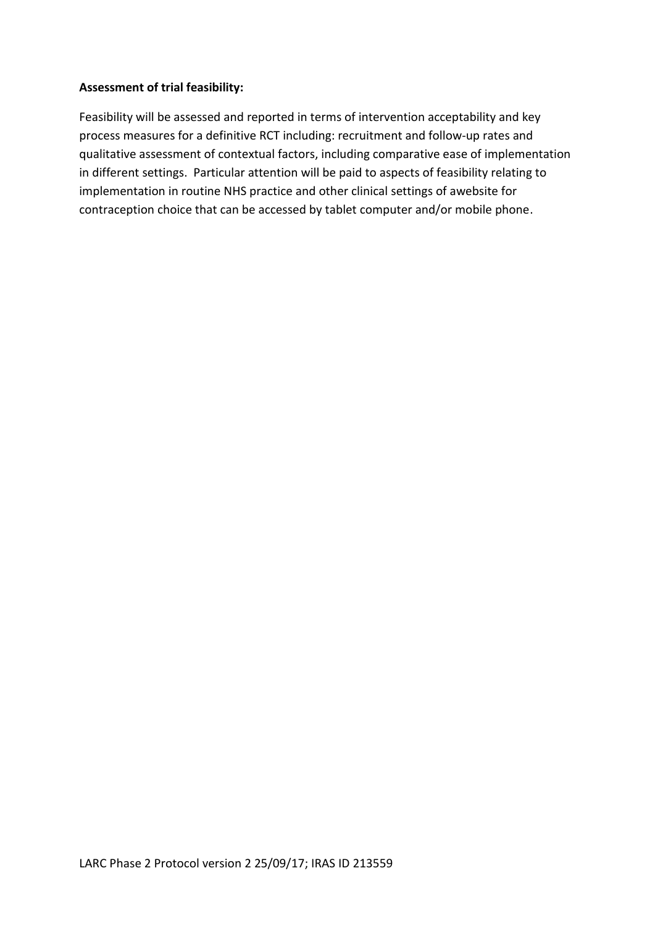#### **Assessment of trial feasibility:**

Feasibility will be assessed and reported in terms of intervention acceptability and key process measures for a definitive RCT including: recruitment and follow-up rates and qualitative assessment of contextual factors, including comparative ease of implementation in different settings. Particular attention will be paid to aspects of feasibility relating to implementation in routine NHS practice and other clinical settings of awebsite for contraception choice that can be accessed by tablet computer and/or mobile phone.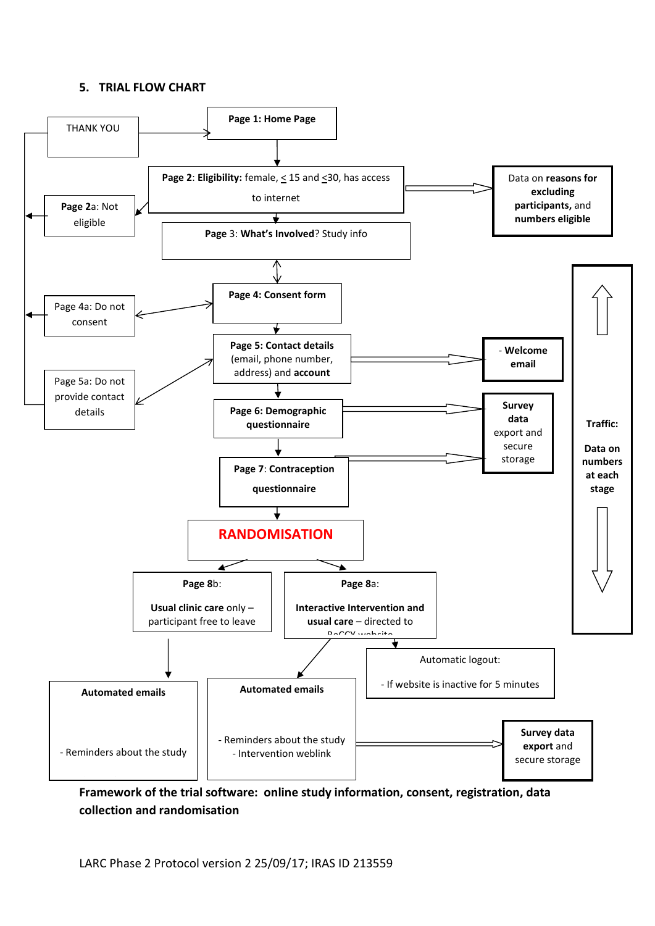#### <span id="page-9-0"></span>**5. TRIAL FLOW CHART**



**Framework of the trial software: online study information, consent, registration, data collection and randomisation**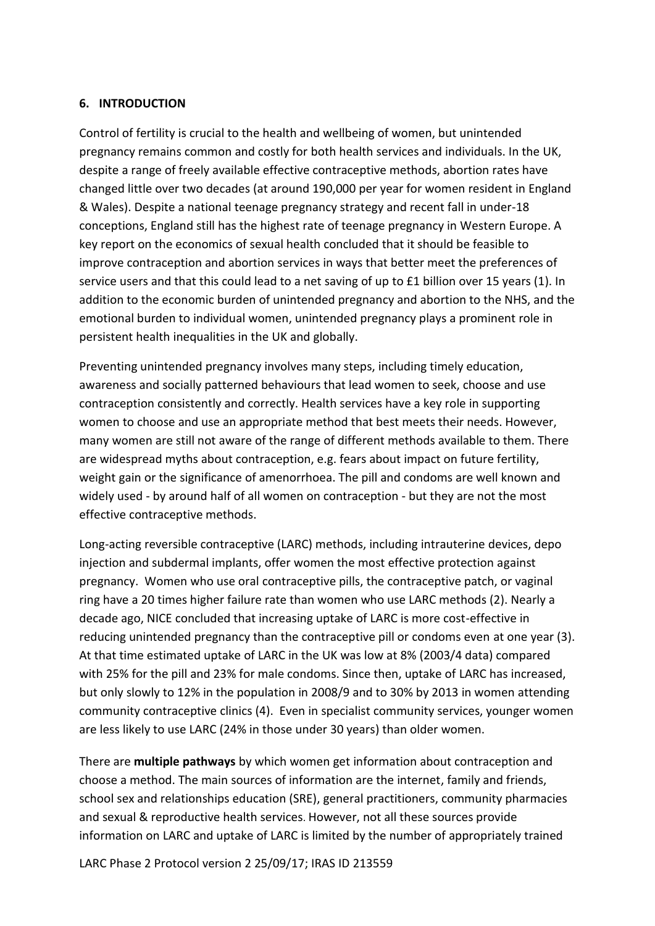#### <span id="page-10-0"></span>**6. INTRODUCTION**

Control of fertility is crucial to the health and wellbeing of women, but unintended pregnancy remains common and costly for both health services and individuals. In the UK, despite a range of freely available effective contraceptive methods, abortion rates have changed little over two decades (at around 190,000 per year for women resident in England & Wales). Despite a national teenage pregnancy strategy and recent fall in under-18 conceptions, England still has the highest rate of teenage pregnancy in Western Europe. A key report on the economics of sexual health concluded that it should be feasible to improve contraception and abortion services in ways that better meet the preferences of service users and that this could lead to a net saving of up to £1 billion over 15 years (1). In addition to the economic burden of unintended pregnancy and abortion to the NHS, and the emotional burden to individual women, unintended pregnancy plays a prominent role in persistent health inequalities in the UK and globally.

Preventing unintended pregnancy involves many steps, including timely education, awareness and socially patterned behaviours that lead women to seek, choose and use contraception consistently and correctly. Health services have a key role in supporting women to choose and use an appropriate method that best meets their needs. However, many women are still not aware of the range of different methods available to them. There are widespread myths about contraception, e.g. fears about impact on future fertility, weight gain or the significance of amenorrhoea. The pill and condoms are well known and widely used - by around half of all women on contraception - but they are not the most effective contraceptive methods.

Long-acting reversible contraceptive (LARC) methods, including intrauterine devices, depo injection and subdermal implants, offer women the most effective protection against pregnancy. Women who use oral contraceptive pills, the contraceptive patch, or vaginal ring have a 20 times higher failure rate than women who use LARC methods (2). Nearly a decade ago, NICE concluded that increasing uptake of LARC is more cost-effective in reducing unintended pregnancy than the contraceptive pill or condoms even at one year (3). At that time estimated uptake of LARC in the UK was low at 8% (2003/4 data) compared with 25% for the pill and 23% for male condoms. Since then, uptake of LARC has increased, but only slowly to 12% in the population in 2008/9 and to 30% by 2013 in women attending community contraceptive clinics (4). Even in specialist community services, younger women are less likely to use LARC (24% in those under 30 years) than older women.

There are **multiple pathways** by which women get information about contraception and choose a method. The main sources of information are the internet, family and friends, school sex and relationships education (SRE), general practitioners, community pharmacies and sexual & reproductive health services. However, not all these sources provide information on LARC and uptake of LARC is limited by the number of appropriately trained

LARC Phase 2 Protocol version 2 25/09/17; IRAS ID 213559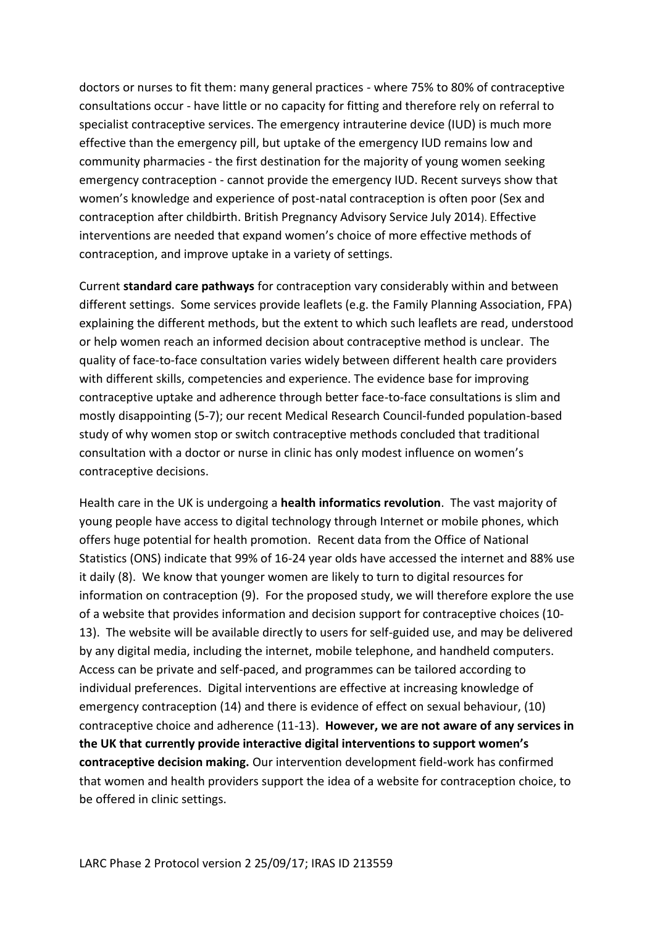doctors or nurses to fit them: many general practices - where 75% to 80% of contraceptive consultations occur - have little or no capacity for fitting and therefore rely on referral to specialist contraceptive services. The emergency intrauterine device (IUD) is much more effective than the emergency pill, but uptake of the emergency IUD remains low and community pharmacies - the first destination for the majority of young women seeking emergency contraception - cannot provide the emergency IUD. Recent surveys show that women's knowledge and experience of post-natal contraception is often poor (Sex and contraception after childbirth. British Pregnancy Advisory Service July 2014). Effective interventions are needed that expand women's choice of more effective methods of contraception, and improve uptake in a variety of settings.

Current **standard care pathways** for contraception vary considerably within and between different settings. Some services provide leaflets (e.g. the Family Planning Association, FPA) explaining the different methods, but the extent to which such leaflets are read, understood or help women reach an informed decision about contraceptive method is unclear. The quality of face-to-face consultation varies widely between different health care providers with different skills, competencies and experience. The evidence base for improving contraceptive uptake and adherence through better face-to-face consultations is slim and mostly disappointing (5-7); our recent Medical Research Council-funded population-based study of why women stop or switch contraceptive methods concluded that traditional consultation with a doctor or nurse in clinic has only modest influence on women's contraceptive decisions.

Health care in the UK is undergoing a **health informatics revolution**. The vast majority of young people have access to digital technology through Internet or mobile phones, which offers huge potential for health promotion. Recent data from the Office of National Statistics (ONS) indicate that 99% of 16-24 year olds have accessed the internet and 88% use it daily (8).We know that younger women are likely to turn to digital resources for information on contraception (9). For the proposed study, we will therefore explore the use of a website that provides information and decision support for contraceptive choices (10- 13). The website will be available directly to users for self-guided use, and may be delivered by any digital media, including the internet, mobile telephone, and handheld computers. Access can be private and self-paced, and programmes can be tailored according to individual preferences. Digital interventions are effective at increasing knowledge of emergency contraception (14) and there is evidence of effect on sexual behaviour, (10) contraceptive choice and adherence (11-13). **However, we are not aware of any services in the UK that currently provide interactive digital interventions to support women's contraceptive decision making.** Our intervention development field-work has confirmed that women and health providers support the idea of a website for contraception choice, to be offered in clinic settings.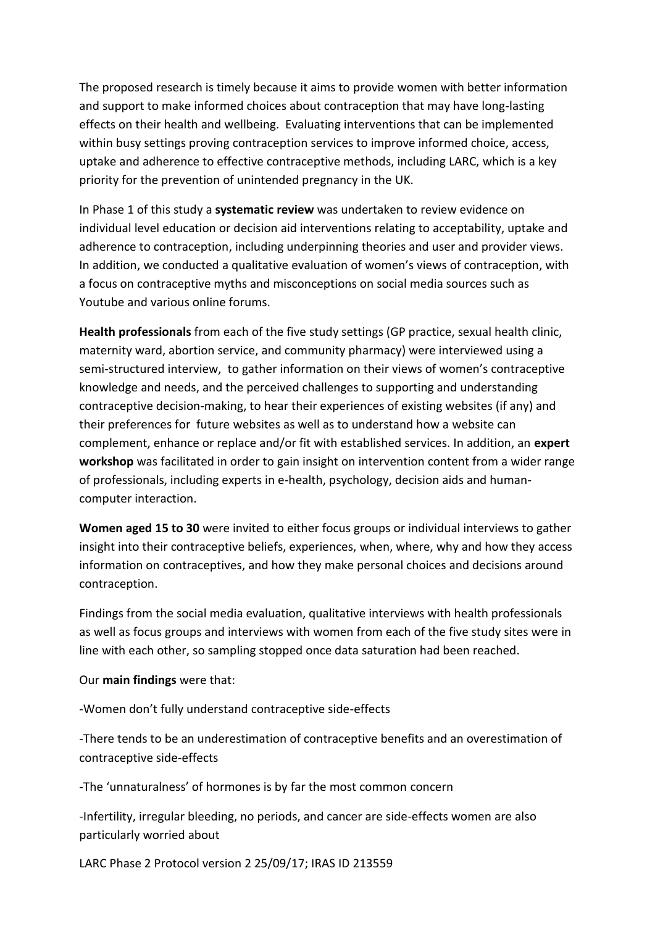The proposed research is timely because it aims to provide women with better information and support to make informed choices about contraception that may have long-lasting effects on their health and wellbeing. Evaluating interventions that can be implemented within busy settings proving contraception services to improve informed choice, access, uptake and adherence to effective contraceptive methods, including LARC, which is a key priority for the prevention of unintended pregnancy in the UK.

In Phase 1 of this study a **systematic review** was undertaken to review evidence on individual level education or decision aid interventions relating to acceptability, uptake and adherence to contraception, including underpinning theories and user and provider views. In addition, we conducted a qualitative evaluation of women's views of contraception, with a focus on contraceptive myths and misconceptions on social media sources such as Youtube and various online forums.

**Health professionals** from each of the five study settings (GP practice, sexual health clinic, maternity ward, abortion service, and community pharmacy) were interviewed using a semi-structured interview, to gather information on their views of women's contraceptive knowledge and needs, and the perceived challenges to supporting and understanding contraceptive decision-making, to hear their experiences of existing websites (if any) and their preferences for future websites as well as to understand how a website can complement, enhance or replace and/or fit with established services. In addition, an **expert workshop** was facilitated in order to gain insight on intervention content from a wider range of professionals, including experts in e-health, psychology, decision aids and humancomputer interaction.

**Women aged 15 to 30** were invited to either focus groups or individual interviews to gather insight into their contraceptive beliefs, experiences, when, where, why and how they access information on contraceptives, and how they make personal choices and decisions around contraception.

Findings from the social media evaluation, qualitative interviews with health professionals as well as focus groups and interviews with women from each of the five study sites were in line with each other, so sampling stopped once data saturation had been reached.

Our **main findings** were that:

-Women don't fully understand contraceptive side-effects

-There tends to be an underestimation of contraceptive benefits and an overestimation of contraceptive side-effects

-The 'unnaturalness' of hormones is by far the most common concern

-Infertility, irregular bleeding, no periods, and cancer are side-effects women are also particularly worried about

LARC Phase 2 Protocol version 2 25/09/17; IRAS ID 213559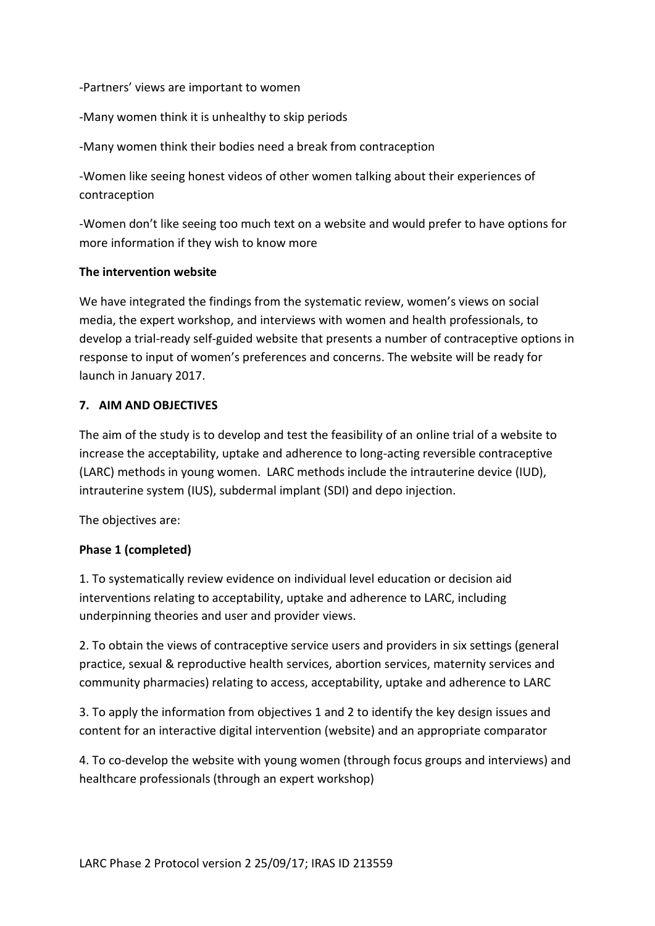-Partners' views are important to women

-Many women think it is unhealthy to skip periods

-Many women think their bodies need a break from contraception

-Women like seeing honest videos of other women talking about their experiences of contraception

-Women don't like seeing too much text on a website and would prefer to have options for more information if they wish to know more

#### **The intervention website**

We have integrated the findings from the systematic review, women's views on social media, the expert workshop, and interviews with women and health professionals, to develop a trial-ready self-guided website that presents a number of contraceptive options in response to input of women's preferences and concerns. The website will be ready for launch in January 2017.

#### <span id="page-13-0"></span>**7. AIM AND OBJECTIVES**

The aim of the study is to develop and test the feasibility of an online trial of a website to increase the acceptability, uptake and adherence to long-acting reversible contraceptive (LARC) methods in young women. LARC methods include the intrauterine device (IUD), intrauterine system (IUS), subdermal implant (SDI) and depo injection.

The objectives are:

#### **Phase 1 (completed)**

1. To systematically review evidence on individual level education or decision aid interventions relating to acceptability, uptake and adherence to LARC, including underpinning theories and user and provider views.

2. To obtain the views of contraceptive service users and providers in six settings (general practice, sexual & reproductive health services, abortion services, maternity services and community pharmacies) relating to access, acceptability, uptake and adherence to LARC

3. To apply the information from objectives 1 and 2 to identify the key design issues and content for an interactive digital intervention (website) and an appropriate comparator

4. To co-develop the website with young women (through focus groups and interviews) and healthcare professionals (through an expert workshop)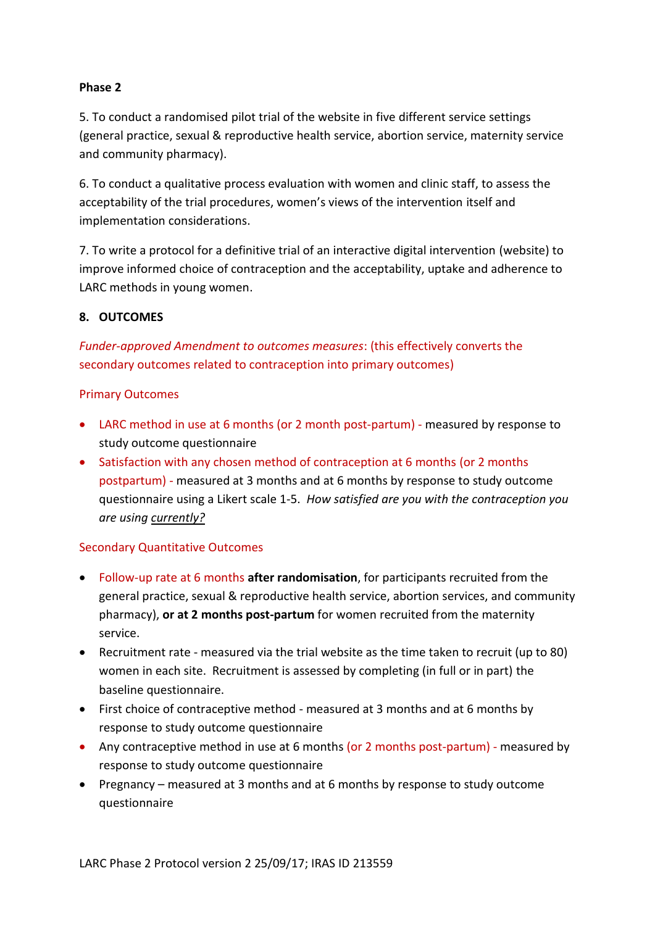#### **Phase 2**

5. To conduct a randomised pilot trial of the website in five different service settings (general practice, sexual & reproductive health service, abortion service, maternity service and community pharmacy).

6. To conduct a qualitative process evaluation with women and clinic staff, to assess the acceptability of the trial procedures, women's views of the intervention itself and implementation considerations.

7. To write a protocol for a definitive trial of an interactive digital intervention (website) to improve informed choice of contraception and the acceptability, uptake and adherence to LARC methods in young women.

#### <span id="page-14-0"></span>**8. OUTCOMES**

*Funder-approved Amendment to outcomes measures*: (this effectively converts the secondary outcomes related to contraception into primary outcomes)

#### Primary Outcomes

- LARC method in use at 6 months (or 2 month post-partum) measured by response to study outcome questionnaire
- Satisfaction with any chosen method of contraception at 6 months (or 2 months postpartum) - measured at 3 months and at 6 months by response to study outcome questionnaire using a Likert scale 1-5. *How satisfied are you with the contraception you are using currently?*

#### Secondary Quantitative Outcomes

- Follow-up rate at 6 months **after randomisation**, for participants recruited from the general practice, sexual & reproductive health service, abortion services, and community pharmacy), **or at 2 months post-partum** for women recruited from the maternity service.
- Recruitment rate measured via the trial website as the time taken to recruit (up to 80) women in each site. Recruitment is assessed by completing (in full or in part) the baseline questionnaire.
- First choice of contraceptive method measured at 3 months and at 6 months by response to study outcome questionnaire
- Any contraceptive method in use at 6 months (or 2 months post-partum) measured by response to study outcome questionnaire
- Pregnancy measured at 3 months and at 6 months by response to study outcome questionnaire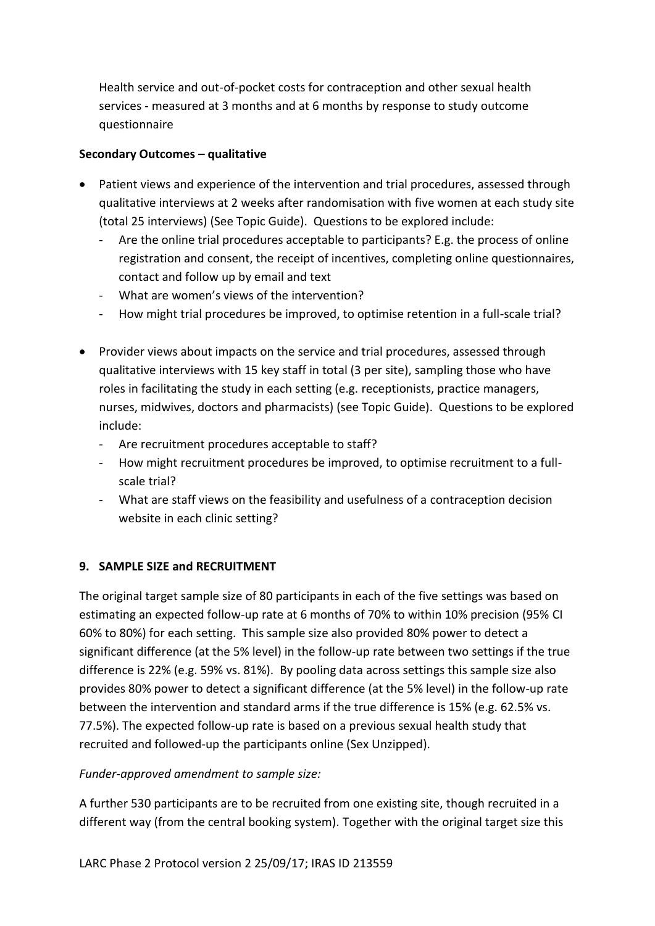Health service and out-of-pocket costs for contraception and other sexual health services - measured at 3 months and at 6 months by response to study outcome questionnaire

# **Secondary Outcomes – qualitative**

- Patient views and experience of the intervention and trial procedures, assessed through qualitative interviews at 2 weeks after randomisation with five women at each study site (total 25 interviews) (See Topic Guide). Questions to be explored include:
	- Are the online trial procedures acceptable to participants? E.g. the process of online registration and consent, the receipt of incentives, completing online questionnaires, contact and follow up by email and text
	- What are women's views of the intervention?
	- How might trial procedures be improved, to optimise retention in a full-scale trial?
- Provider views about impacts on the service and trial procedures, assessed through qualitative interviews with 15 key staff in total (3 per site), sampling those who have roles in facilitating the study in each setting (e.g. receptionists, practice managers, nurses, midwives, doctors and pharmacists) (see Topic Guide). Questions to be explored include:
	- Are recruitment procedures acceptable to staff?
	- How might recruitment procedures be improved, to optimise recruitment to a fullscale trial?
	- What are staff views on the feasibility and usefulness of a contraception decision website in each clinic setting?

# <span id="page-15-0"></span>**9. SAMPLE SIZE and RECRUITMENT**

The original target sample size of 80 participants in each of the five settings was based on estimating an expected follow-up rate at 6 months of 70% to within 10% precision (95% CI 60% to 80%) for each setting. This sample size also provided 80% power to detect a significant difference (at the 5% level) in the follow-up rate between two settings if the true difference is 22% (e.g. 59% vs. 81%). By pooling data across settings this sample size also provides 80% power to detect a significant difference (at the 5% level) in the follow-up rate between the intervention and standard arms if the true difference is 15% (e.g. 62.5% vs. 77.5%). The expected follow-up rate is based on a previous sexual health study that recruited and followed-up the participants online (Sex Unzipped).

# *Funder-approved amendment to sample size:*

A further 530 participants are to be recruited from one existing site, though recruited in a different way (from the central booking system). Together with the original target size this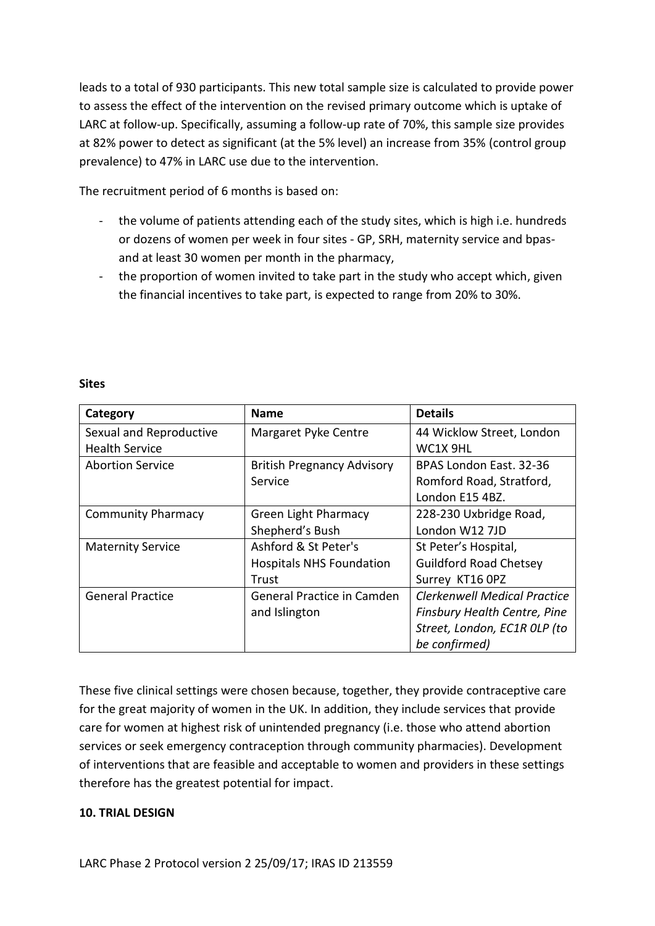leads to a total of 930 participants. This new total sample size is calculated to provide power to assess the effect of the intervention on the revised primary outcome which is uptake of LARC at follow-up. Specifically, assuming a follow-up rate of 70%, this sample size provides at 82% power to detect as significant (at the 5% level) an increase from 35% (control group prevalence) to 47% in LARC use due to the intervention.

The recruitment period of 6 months is based on:

- the volume of patients attending each of the study sites, which is high i.e. hundreds or dozens of women per week in four sites - GP, SRH, maternity service and bpasand at least 30 women per month in the pharmacy,
- the proportion of women invited to take part in the study who accept which, given the financial incentives to take part, is expected to range from 20% to 30%.

| Category                  | <b>Name</b>                       | <b>Details</b>                      |
|---------------------------|-----------------------------------|-------------------------------------|
| Sexual and Reproductive   | Margaret Pyke Centre              | 44 Wicklow Street, London           |
| <b>Health Service</b>     |                                   | WC1X 9HL                            |
| <b>Abortion Service</b>   | <b>British Pregnancy Advisory</b> | BPAS London East. 32-36             |
|                           | Service                           | Romford Road, Stratford,            |
|                           |                                   | London E15 4BZ.                     |
| <b>Community Pharmacy</b> | <b>Green Light Pharmacy</b>       | 228-230 Uxbridge Road,              |
|                           | Shepherd's Bush                   | London W12 7JD                      |
| <b>Maternity Service</b>  | Ashford & St Peter's              | St Peter's Hospital,                |
|                           | <b>Hospitals NHS Foundation</b>   | <b>Guildford Road Chetsey</b>       |
|                           | Trust                             | Surrey KT16 OPZ                     |
| <b>General Practice</b>   | <b>General Practice in Camden</b> | <b>Clerkenwell Medical Practice</b> |
|                           | and Islington                     | Finsbury Health Centre, Pine        |
|                           |                                   | Street, London, EC1R OLP (to        |
|                           |                                   | be confirmed)                       |

#### **Sites**

These five clinical settings were chosen because, together, they provide contraceptive care for the great majority of women in the UK. In addition, they include services that provide care for women at highest risk of unintended pregnancy (i.e. those who attend abortion services or seek emergency contraception through community pharmacies). Development of interventions that are feasible and acceptable to women and providers in these settings therefore has the greatest potential for impact.

#### <span id="page-16-0"></span>**10. TRIAL DESIGN**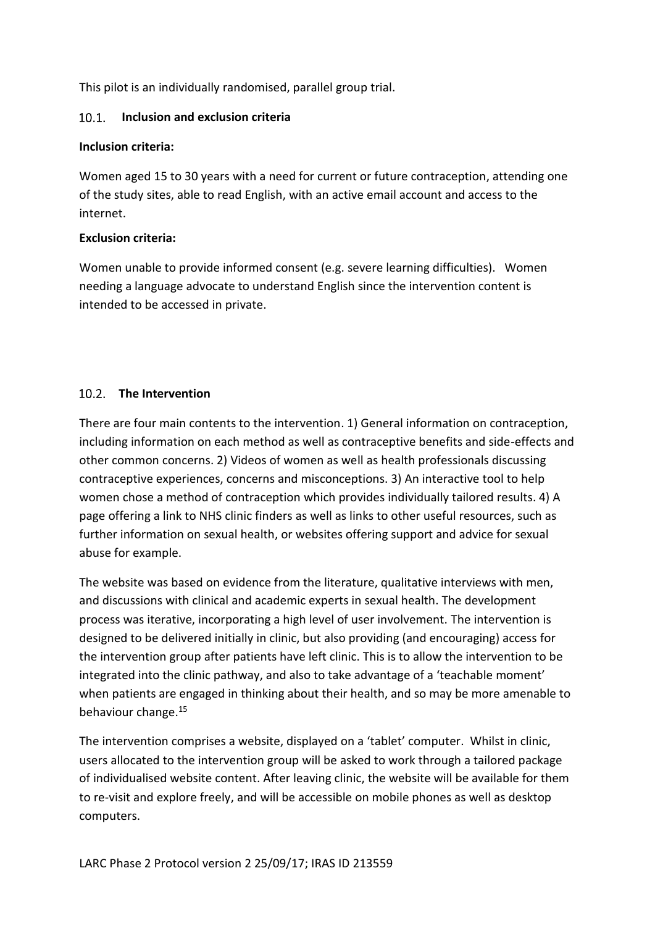This pilot is an individually randomised, parallel group trial.

#### <span id="page-17-0"></span>**Inclusion and exclusion criteria**   $10.1$

#### **Inclusion criteria:**

Women aged 15 to 30 years with a need for current or future contraception, attending one of the study sites, able to read English, with an active email account and access to the internet.

# **Exclusion criteria:**

Women unable to provide informed consent (e.g. severe learning difficulties). Women needing a language advocate to understand English since the intervention content is intended to be accessed in private.

# <span id="page-17-1"></span>10.2 The Intervention

There are four main contents to the intervention. 1) General information on contraception, including information on each method as well as contraceptive benefits and side-effects and other common concerns. 2) Videos of women as well as health professionals discussing contraceptive experiences, concerns and misconceptions. 3) An interactive tool to help women chose a method of contraception which provides individually tailored results. 4) A page offering a link to NHS clinic finders as well as links to other useful resources, such as further information on sexual health, or websites offering support and advice for sexual abuse for example.

The website was based on evidence from the literature, qualitative interviews with men, and discussions with clinical and academic experts in sexual health. The development process was iterative, incorporating a high level of user involvement. The intervention is designed to be delivered initially in clinic, but also providing (and encouraging) access for the intervention group after patients have left clinic. This is to allow the intervention to be integrated into the clinic pathway, and also to take advantage of a 'teachable moment' when patients are engaged in thinking about their health, and so may be more amenable to behaviour change.<sup>15</sup>

The intervention comprises a website, displayed on a 'tablet' computer. Whilst in clinic, users allocated to the intervention group will be asked to work through a tailored package of individualised website content. After leaving clinic, the website will be available for them to re-visit and explore freely, and will be accessible on mobile phones as well as desktop computers.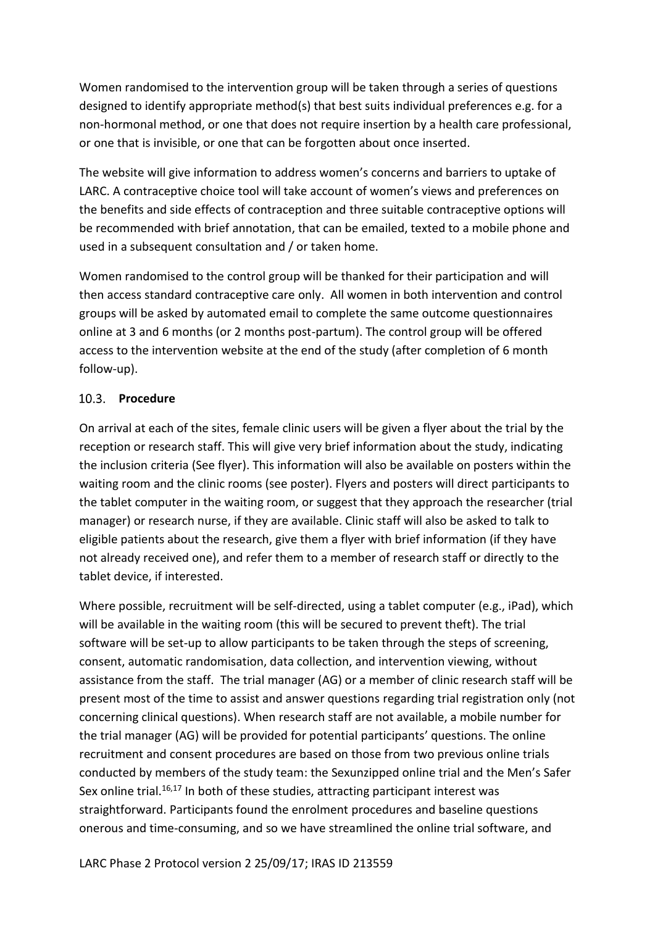Women randomised to the intervention group will be taken through a series of questions designed to identify appropriate method(s) that best suits individual preferences e.g. for a non-hormonal method, or one that does not require insertion by a health care professional, or one that is invisible, or one that can be forgotten about once inserted.

The website will give information to address women's concerns and barriers to uptake of LARC. A contraceptive choice tool will take account of women's views and preferences on the benefits and side effects of contraception and three suitable contraceptive options will be recommended with brief annotation, that can be emailed, texted to a mobile phone and used in a subsequent consultation and / or taken home.

Women randomised to the control group will be thanked for their participation and will then access standard contraceptive care only. All women in both intervention and control groups will be asked by automated email to complete the same outcome questionnaires online at 3 and 6 months (or 2 months post-partum). The control group will be offered access to the intervention website at the end of the study (after completion of 6 month follow-up).

#### <span id="page-18-0"></span>10.3. Procedure

On arrival at each of the sites, female clinic users will be given a flyer about the trial by the reception or research staff. This will give very brief information about the study, indicating the inclusion criteria (See flyer). This information will also be available on posters within the waiting room and the clinic rooms (see poster). Flyers and posters will direct participants to the tablet computer in the waiting room, or suggest that they approach the researcher (trial manager) or research nurse, if they are available. Clinic staff will also be asked to talk to eligible patients about the research, give them a flyer with brief information (if they have not already received one), and refer them to a member of research staff or directly to the tablet device, if interested.

Where possible, recruitment will be self-directed, using a tablet computer (e.g., iPad), which will be available in the waiting room (this will be secured to prevent theft). The trial software will be set-up to allow participants to be taken through the steps of screening, consent, automatic randomisation, data collection, and intervention viewing, without assistance from the staff. The trial manager (AG) or a member of clinic research staff will be present most of the time to assist and answer questions regarding trial registration only (not concerning clinical questions). When research staff are not available, a mobile number for the trial manager (AG) will be provided for potential participants' questions. The online recruitment and consent procedures are based on those from two previous online trials conducted by members of the study team: the Sexunzipped online trial and the Men's Safer Sex online trial. $16,17$  In both of these studies, attracting participant interest was straightforward. Participants found the enrolment procedures and baseline questions onerous and time-consuming, and so we have streamlined the online trial software, and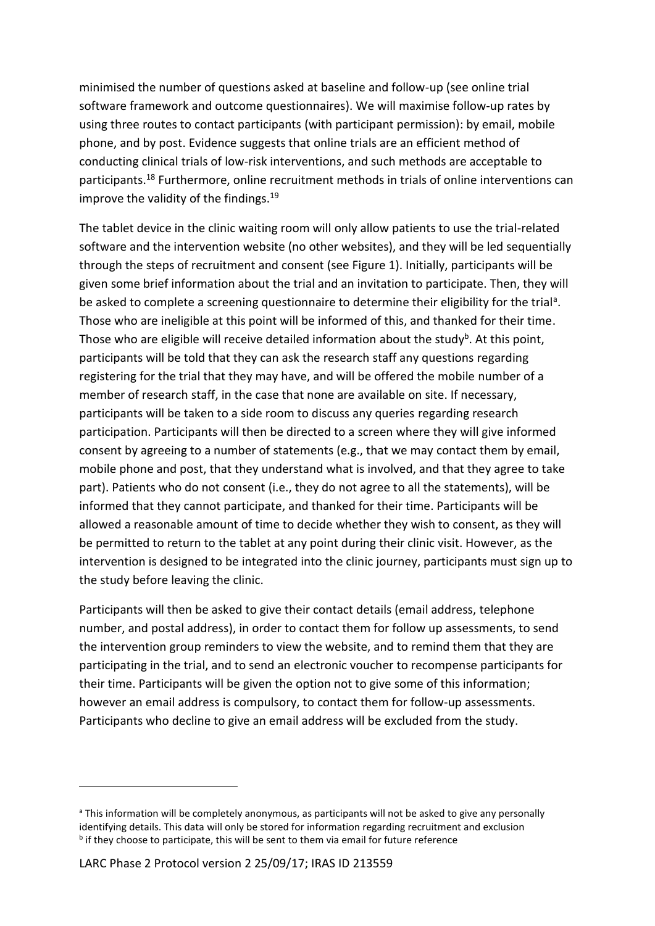minimised the number of questions asked at baseline and follow-up (see online trial software framework and outcome questionnaires). We will maximise follow-up rates by using three routes to contact participants (with participant permission): by email, mobile phone, and by post. Evidence suggests that online trials are an efficient method of conducting clinical trials of low-risk interventions, and such methods are acceptable to participants.<sup>18</sup> Furthermore, online recruitment methods in trials of online interventions can improve the validity of the findings.<sup>19</sup>

The tablet device in the clinic waiting room will only allow patients to use the trial-related software and the intervention website (no other websites), and they will be led sequentially through the steps of recruitment and consent (see Figure 1). Initially, participants will be given some brief information about the trial and an invitation to participate. Then, they will be asked to complete a screening questionnaire to determine their eligibility for the trial<sup>a</sup>. Those who are ineligible at this point will be informed of this, and thanked for their time. Those who are eligible will receive detailed information about the study<sup>b</sup>. At this point, participants will be told that they can ask the research staff any questions regarding registering for the trial that they may have, and will be offered the mobile number of a member of research staff, in the case that none are available on site. If necessary, participants will be taken to a side room to discuss any queries regarding research participation. Participants will then be directed to a screen where they will give informed consent by agreeing to a number of statements (e.g., that we may contact them by email, mobile phone and post, that they understand what is involved, and that they agree to take part). Patients who do not consent (i.e., they do not agree to all the statements), will be informed that they cannot participate, and thanked for their time. Participants will be allowed a reasonable amount of time to decide whether they wish to consent, as they will be permitted to return to the tablet at any point during their clinic visit. However, as the intervention is designed to be integrated into the clinic journey, participants must sign up to the study before leaving the clinic.

Participants will then be asked to give their contact details (email address, telephone number, and postal address), in order to contact them for follow up assessments, to send the intervention group reminders to view the website, and to remind them that they are participating in the trial, and to send an electronic voucher to recompense participants for their time. Participants will be given the option not to give some of this information; however an email address is compulsory, to contact them for follow-up assessments. Participants who decline to give an email address will be excluded from the study.

-

a This information will be completely anonymous, as participants will not be asked to give any personally identifying details. This data will only be stored for information regarding recruitment and exclusion **<sup>b</sup>** if they choose to participate, this will be sent to them via email for future reference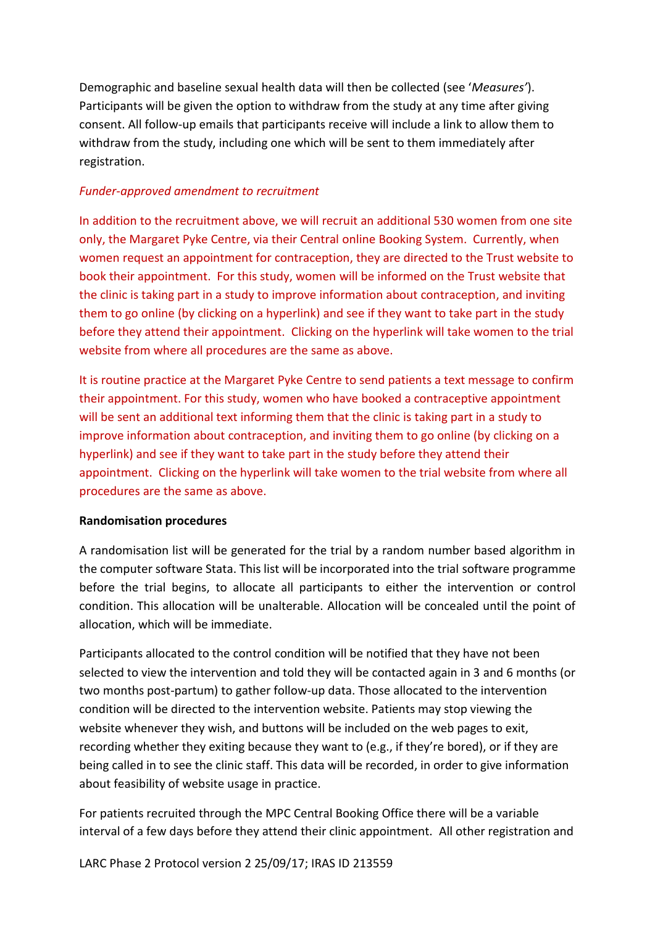Demographic and baseline sexual health data will then be collected (see '*Measures'*). Participants will be given the option to withdraw from the study at any time after giving consent. All follow-up emails that participants receive will include a link to allow them to withdraw from the study, including one which will be sent to them immediately after registration.

#### *Funder-approved amendment to recruitment*

In addition to the recruitment above, we will recruit an additional 530 women from one site only, the Margaret Pyke Centre, via their Central online Booking System. Currently, when women request an appointment for contraception, they are directed to the Trust website to book their appointment. For this study, women will be informed on the Trust website that the clinic is taking part in a study to improve information about contraception, and inviting them to go online (by clicking on a hyperlink) and see if they want to take part in the study before they attend their appointment. Clicking on the hyperlink will take women to the trial website from where all procedures are the same as above.

It is routine practice at the Margaret Pyke Centre to send patients a text message to confirm their appointment. For this study, women who have booked a contraceptive appointment will be sent an additional text informing them that the clinic is taking part in a study to improve information about contraception, and inviting them to go online (by clicking on a hyperlink) and see if they want to take part in the study before they attend their appointment. Clicking on the hyperlink will take women to the trial website from where all procedures are the same as above.

#### <span id="page-20-0"></span>**Randomisation procedures**

A randomisation list will be generated for the trial by a random number based algorithm in the computer software Stata. This list will be incorporated into the trial software programme before the trial begins, to allocate all participants to either the intervention or control condition. This allocation will be unalterable. Allocation will be concealed until the point of allocation, which will be immediate.

Participants allocated to the control condition will be notified that they have not been selected to view the intervention and told they will be contacted again in 3 and 6 months (or two months post-partum) to gather follow-up data. Those allocated to the intervention condition will be directed to the intervention website. Patients may stop viewing the website whenever they wish, and buttons will be included on the web pages to exit, recording whether they exiting because they want to (e.g., if they're bored), or if they are being called in to see the clinic staff. This data will be recorded, in order to give information about feasibility of website usage in practice.

For patients recruited through the MPC Central Booking Office there will be a variable interval of a few days before they attend their clinic appointment. All other registration and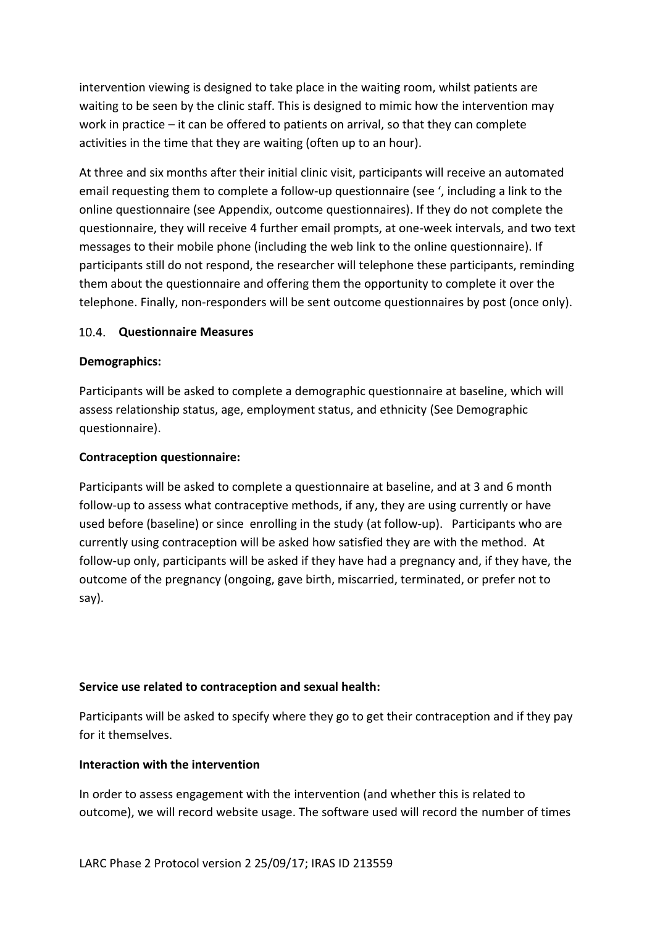intervention viewing is designed to take place in the waiting room, whilst patients are waiting to be seen by the clinic staff. This is designed to mimic how the intervention may work in practice – it can be offered to patients on arrival, so that they can complete activities in the time that they are waiting (often up to an hour).

At three and six months after their initial clinic visit, participants will receive an automated email requesting them to complete a follow-up questionnaire (see ', including a link to the online questionnaire (see Appendix, outcome questionnaires). If they do not complete the questionnaire, they will receive 4 further email prompts, at one-week intervals, and two text messages to their mobile phone (including the web link to the online questionnaire). If participants still do not respond, the researcher will telephone these participants, reminding them about the questionnaire and offering them the opportunity to complete it over the telephone. Finally, non-responders will be sent outcome questionnaires by post (once only).

#### <span id="page-21-0"></span>**Questionnaire Measures**

#### **Demographics:**

Participants will be asked to complete a demographic questionnaire at baseline, which will assess relationship status, age, employment status, and ethnicity (See Demographic questionnaire).

#### **Contraception questionnaire:**

Participants will be asked to complete a questionnaire at baseline, and at 3 and 6 month follow-up to assess what contraceptive methods, if any, they are using currently or have used before (baseline) or since enrolling in the study (at follow-up). Participants who are currently using contraception will be asked how satisfied they are with the method. At follow-up only, participants will be asked if they have had a pregnancy and, if they have, the outcome of the pregnancy (ongoing, gave birth, miscarried, terminated, or prefer not to say).

#### **Service use related to contraception and sexual health:**

Participants will be asked to specify where they go to get their contraception and if they pay for it themselves.

#### **Interaction with the intervention**

In order to assess engagement with the intervention (and whether this is related to outcome), we will record website usage. The software used will record the number of times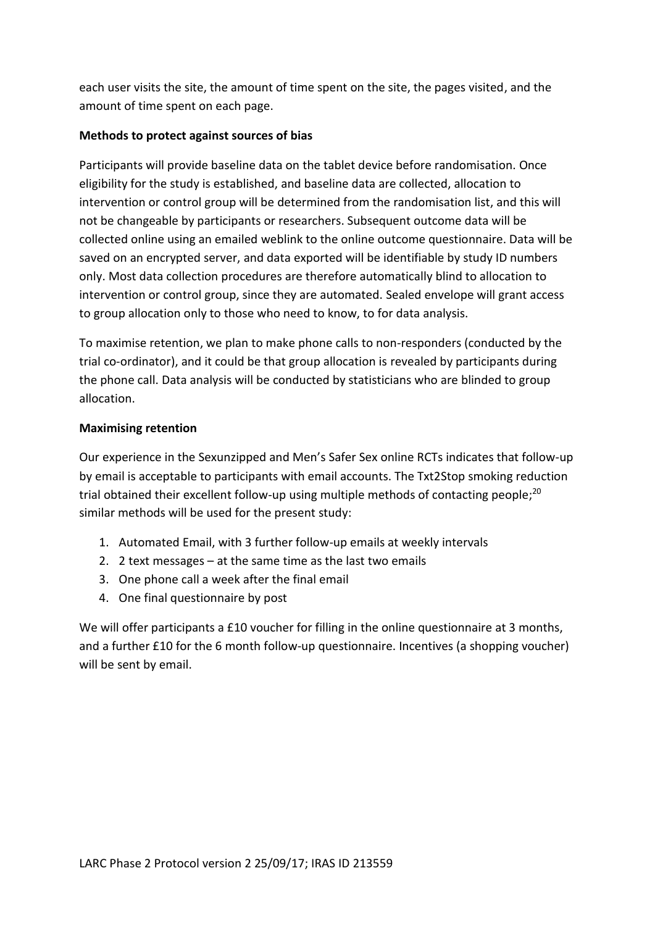each user visits the site, the amount of time spent on the site, the pages visited, and the amount of time spent on each page.

### **Methods to protect against sources of bias**

Participants will provide baseline data on the tablet device before randomisation. Once eligibility for the study is established, and baseline data are collected, allocation to intervention or control group will be determined from the randomisation list, and this will not be changeable by participants or researchers. Subsequent outcome data will be collected online using an emailed weblink to the online outcome questionnaire. Data will be saved on an encrypted server, and data exported will be identifiable by study ID numbers only. Most data collection procedures are therefore automatically blind to allocation to intervention or control group, since they are automated. Sealed envelope will grant access to group allocation only to those who need to know, to for data analysis.

To maximise retention, we plan to make phone calls to non-responders (conducted by the trial co-ordinator), and it could be that group allocation is revealed by participants during the phone call. Data analysis will be conducted by statisticians who are blinded to group allocation.

#### **Maximising retention**

Our experience in the Sexunzipped and Men's Safer Sex online RCTs indicates that follow-up by email is acceptable to participants with email accounts. The Txt2Stop smoking reduction trial obtained their excellent follow-up using multiple methods of contacting people;<sup>20</sup> similar methods will be used for the present study:

- 1. Automated Email, with 3 further follow-up emails at weekly intervals
- 2. 2 text messages at the same time as the last two emails
- 3. One phone call a week after the final email
- 4. One final questionnaire by post

We will offer participants a £10 voucher for filling in the online questionnaire at 3 months, and a further £10 for the 6 month follow-up questionnaire. Incentives (a shopping voucher) will be sent by email.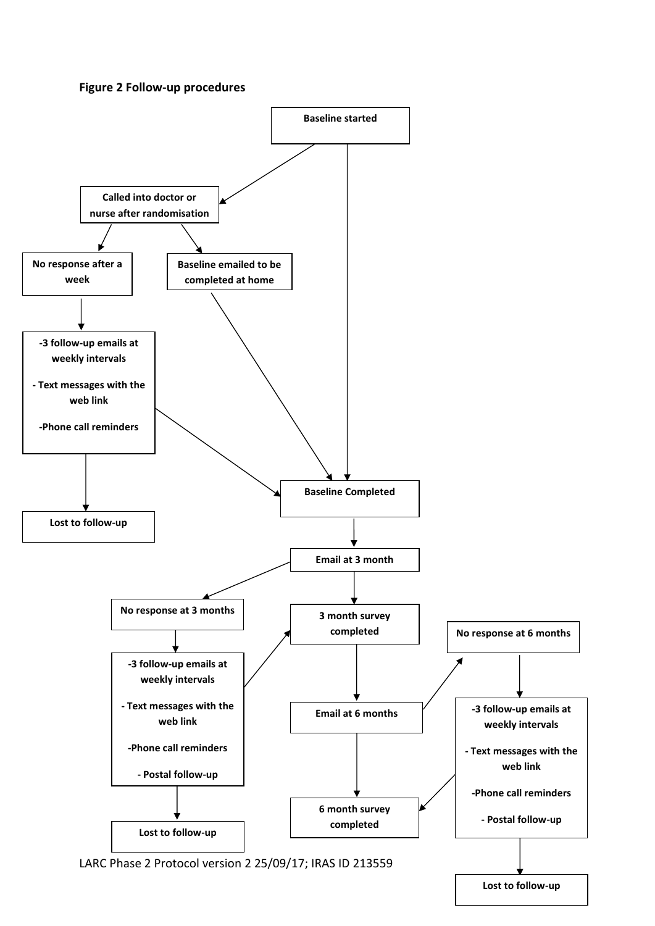#### **Figure 2 Follow-up procedures**



**Lost to follow-up**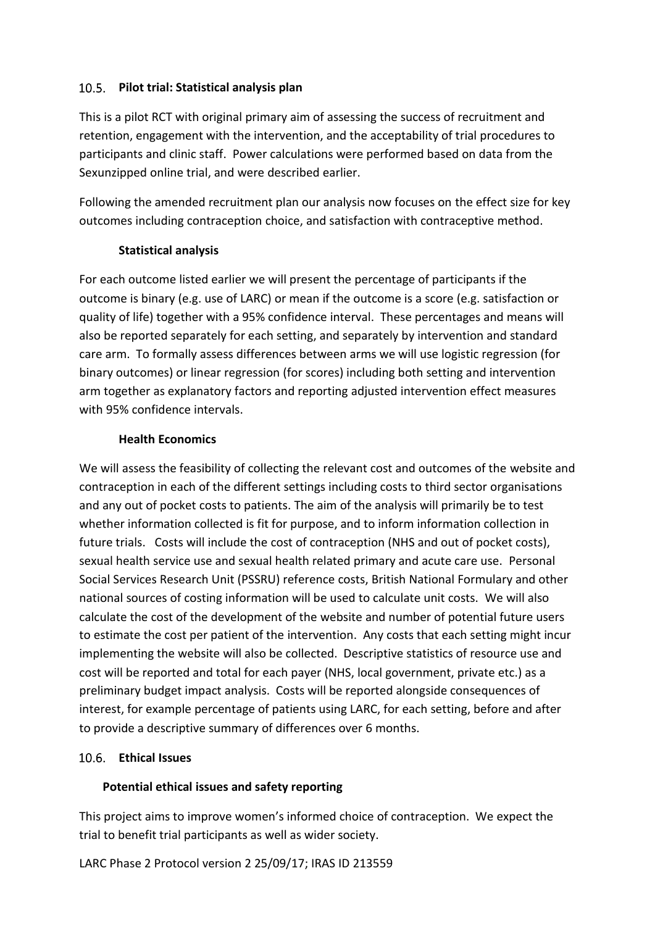# <span id="page-24-0"></span>**Pilot trial: Statistical analysis plan**

This is a pilot RCT with original primary aim of assessing the success of recruitment and retention, engagement with the intervention, and the acceptability of trial procedures to participants and clinic staff. Power calculations were performed based on data from the Sexunzipped online trial, and were described earlier.

Following the amended recruitment plan our analysis now focuses on the effect size for key outcomes including contraception choice, and satisfaction with contraceptive method.

#### **Statistical analysis**

For each outcome listed earlier we will present the percentage of participants if the outcome is binary (e.g. use of LARC) or mean if the outcome is a score (e.g. satisfaction or quality of life) together with a 95% confidence interval. These percentages and means will also be reported separately for each setting, and separately by intervention and standard care arm. To formally assess differences between arms we will use logistic regression (for binary outcomes) or linear regression (for scores) including both setting and intervention arm together as explanatory factors and reporting adjusted intervention effect measures with 95% confidence intervals.

# **Health Economics**

<span id="page-24-1"></span>We will assess the feasibility of collecting the relevant cost and outcomes of the website and contraception in each of the different settings including costs to third sector organisations and any out of pocket costs to patients. The aim of the analysis will primarily be to test whether information collected is fit for purpose, and to inform information collection in future trials. Costs will include the cost of contraception (NHS and out of pocket costs), sexual health service use and sexual health related primary and acute care use. Personal Social Services Research Unit (PSSRU) reference costs, British National Formulary and other national sources of costing information will be used to calculate unit costs. We will also calculate the cost of the development of the website and number of potential future users to estimate the cost per patient of the intervention. Any costs that each setting might incur implementing the website will also be collected. Descriptive statistics of resource use and cost will be reported and total for each payer (NHS, local government, private etc.) as a preliminary budget impact analysis. Costs will be reported alongside consequences of interest, for example percentage of patients using LARC, for each setting, before and after to provide a descriptive summary of differences over 6 months.

# <span id="page-24-2"></span>**Ethical Issues**

# **Potential ethical issues and safety reporting**

This project aims to improve women's informed choice of contraception. We expect the trial to benefit trial participants as well as wider society.

LARC Phase 2 Protocol version 2 25/09/17; IRAS ID 213559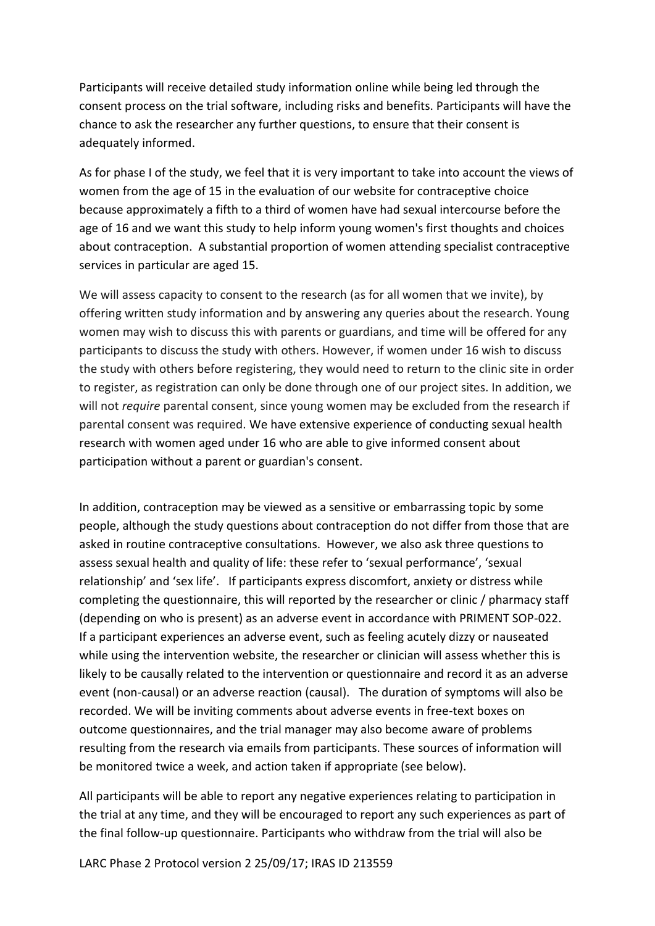Participants will receive detailed study information online while being led through the consent process on the trial software, including risks and benefits. Participants will have the chance to ask the researcher any further questions, to ensure that their consent is adequately informed.

As for phase I of the study, we feel that it is very important to take into account the views of women from the age of 15 in the evaluation of our website for contraceptive choice because approximately a fifth to a third of women have had sexual intercourse before the age of 16 and we want this study to help inform young women's first thoughts and choices about contraception. A substantial proportion of women attending specialist contraceptive services in particular are aged 15.

We will assess capacity to consent to the research (as for all women that we invite), by offering written study information and by answering any queries about the research. Young women may wish to discuss this with parents or guardians, and time will be offered for any participants to discuss the study with others. However, if women under 16 wish to discuss the study with others before registering, they would need to return to the clinic site in order to register, as registration can only be done through one of our project sites. In addition, we will not *require* parental consent, since young women may be excluded from the research if parental consent was required. We have extensive experience of conducting sexual health research with women aged under 16 who are able to give informed consent about participation without a parent or guardian's consent.

In addition, contraception may be viewed as a sensitive or embarrassing topic by some people, although the study questions about contraception do not differ from those that are asked in routine contraceptive consultations. However, we also ask three questions to assess sexual health and quality of life: these refer to 'sexual performance', 'sexual relationship' and 'sex life'. If participants express discomfort, anxiety or distress while completing the questionnaire, this will reported by the researcher or clinic / pharmacy staff (depending on who is present) as an adverse event in accordance with PRIMENT SOP-022. If a participant experiences an adverse event, such as feeling acutely dizzy or nauseated while using the intervention website, the researcher or clinician will assess whether this is likely to be causally related to the intervention or questionnaire and record it as an adverse event (non-causal) or an adverse reaction (causal). The duration of symptoms will also be recorded. We will be inviting comments about adverse events in free-text boxes on outcome questionnaires, and the trial manager may also become aware of problems resulting from the research via emails from participants. These sources of information will be monitored twice a week, and action taken if appropriate (see below).

All participants will be able to report any negative experiences relating to participation in the trial at any time, and they will be encouraged to report any such experiences as part of the final follow-up questionnaire. Participants who withdraw from the trial will also be

LARC Phase 2 Protocol version 2 25/09/17; IRAS ID 213559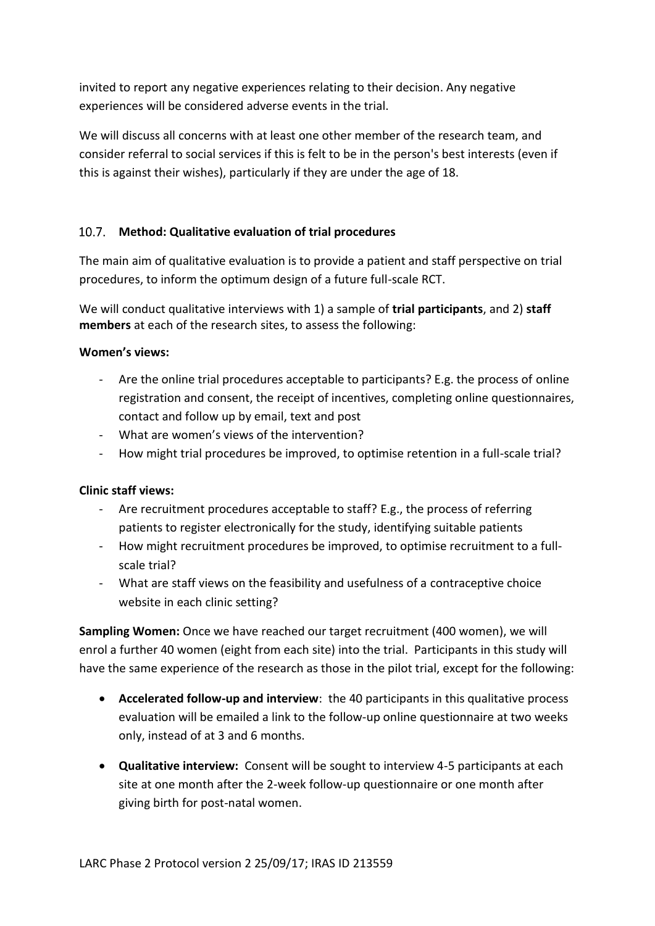invited to report any negative experiences relating to their decision. Any negative experiences will be considered adverse events in the trial.

<span id="page-26-0"></span>We will discuss all concerns with at least one other member of the research team, and consider referral to social services if this is felt to be in the person's best interests (even if this is against their wishes), particularly if they are under the age of 18.

# **Method: Qualitative evaluation of trial procedures**

The main aim of qualitative evaluation is to provide a patient and staff perspective on trial procedures, to inform the optimum design of a future full-scale RCT.

We will conduct qualitative interviews with 1) a sample of **trial participants**, and 2) **staff members** at each of the research sites, to assess the following:

#### **Women's views:**

- Are the online trial procedures acceptable to participants? E.g. the process of online registration and consent, the receipt of incentives, completing online questionnaires, contact and follow up by email, text and post
- What are women's views of the intervention?
- How might trial procedures be improved, to optimise retention in a full-scale trial?

#### **Clinic staff views:**

- Are recruitment procedures acceptable to staff? E.g., the process of referring patients to register electronically for the study, identifying suitable patients
- How might recruitment procedures be improved, to optimise recruitment to a fullscale trial?
- What are staff views on the feasibility and usefulness of a contraceptive choice website in each clinic setting?

**Sampling Women:** Once we have reached our target recruitment (400 women), we will enrol a further 40 women (eight from each site) into the trial. Participants in this study will have the same experience of the research as those in the pilot trial, except for the following:

- **Accelerated follow-up and interview**: the 40 participants in this qualitative process evaluation will be emailed a link to the follow-up online questionnaire at two weeks only, instead of at 3 and 6 months.
- **Qualitative interview:** Consent will be sought to interview 4-5 participants at each site at one month after the 2-week follow-up questionnaire or one month after giving birth for post-natal women.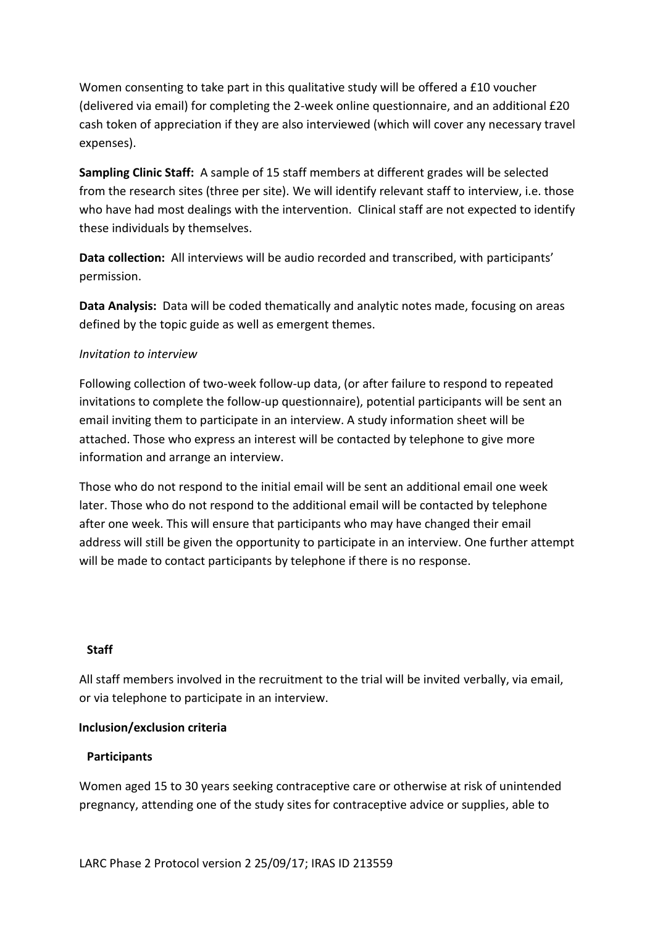Women consenting to take part in this qualitative study will be offered a £10 voucher (delivered via email) for completing the 2-week online questionnaire, and an additional £20 cash token of appreciation if they are also interviewed (which will cover any necessary travel expenses).

**Sampling Clinic Staff:** A sample of 15 staff members at different grades will be selected from the research sites (three per site). We will identify relevant staff to interview, i.e. those who have had most dealings with the intervention. Clinical staff are not expected to identify these individuals by themselves.

**Data collection:** All interviews will be audio recorded and transcribed, with participants' permission.

**Data Analysis:** Data will be coded thematically and analytic notes made, focusing on areas defined by the topic guide as well as emergent themes.

#### *Invitation to interview*

Following collection of two-week follow-up data, (or after failure to respond to repeated invitations to complete the follow-up questionnaire), potential participants will be sent an email inviting them to participate in an interview. A study information sheet will be attached. Those who express an interest will be contacted by telephone to give more information and arrange an interview.

Those who do not respond to the initial email will be sent an additional email one week later. Those who do not respond to the additional email will be contacted by telephone after one week. This will ensure that participants who may have changed their email address will still be given the opportunity to participate in an interview. One further attempt will be made to contact participants by telephone if there is no response.

#### **Staff**

All staff members involved in the recruitment to the trial will be invited verbally, via email, or via telephone to participate in an interview.

#### **Inclusion/exclusion criteria**

#### **Participants**

Women aged 15 to 30 years seeking contraceptive care or otherwise at risk of unintended pregnancy, attending one of the study sites for contraceptive advice or supplies, able to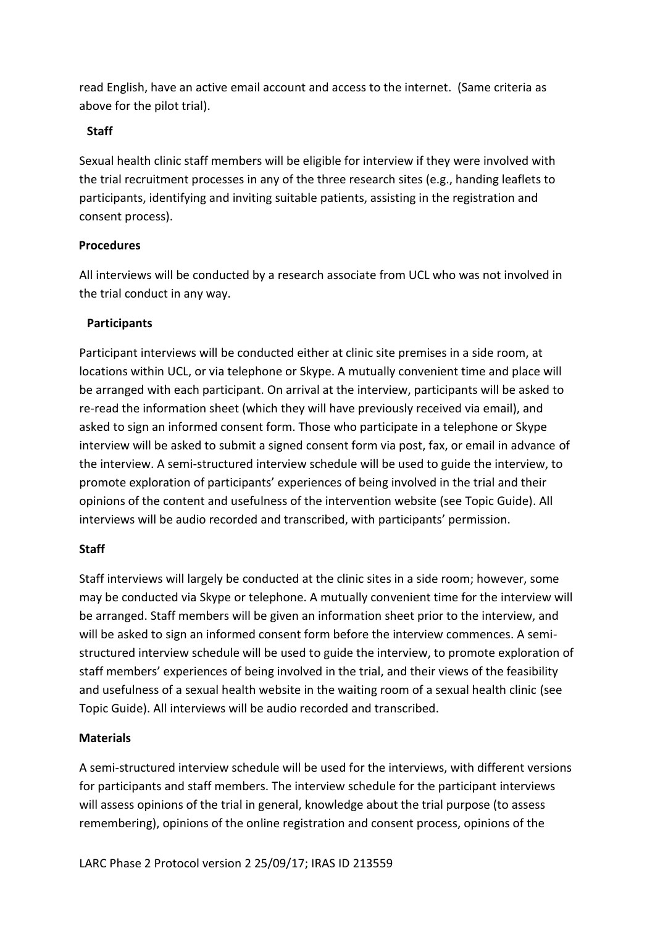read English, have an active email account and access to the internet. (Same criteria as above for the pilot trial).

### **Staff**

Sexual health clinic staff members will be eligible for interview if they were involved with the trial recruitment processes in any of the three research sites (e.g., handing leaflets to participants, identifying and inviting suitable patients, assisting in the registration and consent process).

# **Procedures**

All interviews will be conducted by a research associate from UCL who was not involved in the trial conduct in any way.

# **Participants**

Participant interviews will be conducted either at clinic site premises in a side room, at locations within UCL, or via telephone or Skype. A mutually convenient time and place will be arranged with each participant. On arrival at the interview, participants will be asked to re-read the information sheet (which they will have previously received via email), and asked to sign an informed consent form. Those who participate in a telephone or Skype interview will be asked to submit a signed consent form via post, fax, or email in advance of the interview. A semi-structured interview schedule will be used to guide the interview, to promote exploration of participants' experiences of being involved in the trial and their opinions of the content and usefulness of the intervention website (see Topic Guide). All interviews will be audio recorded and transcribed, with participants' permission.

#### **Staff**

Staff interviews will largely be conducted at the clinic sites in a side room; however, some may be conducted via Skype or telephone. A mutually convenient time for the interview will be arranged. Staff members will be given an information sheet prior to the interview, and will be asked to sign an informed consent form before the interview commences. A semistructured interview schedule will be used to guide the interview, to promote exploration of staff members' experiences of being involved in the trial, and their views of the feasibility and usefulness of a sexual health website in the waiting room of a sexual health clinic (see Topic Guide). All interviews will be audio recorded and transcribed.

#### **Materials**

A semi-structured interview schedule will be used for the interviews, with different versions for participants and staff members. The interview schedule for the participant interviews will assess opinions of the trial in general, knowledge about the trial purpose (to assess remembering), opinions of the online registration and consent process, opinions of the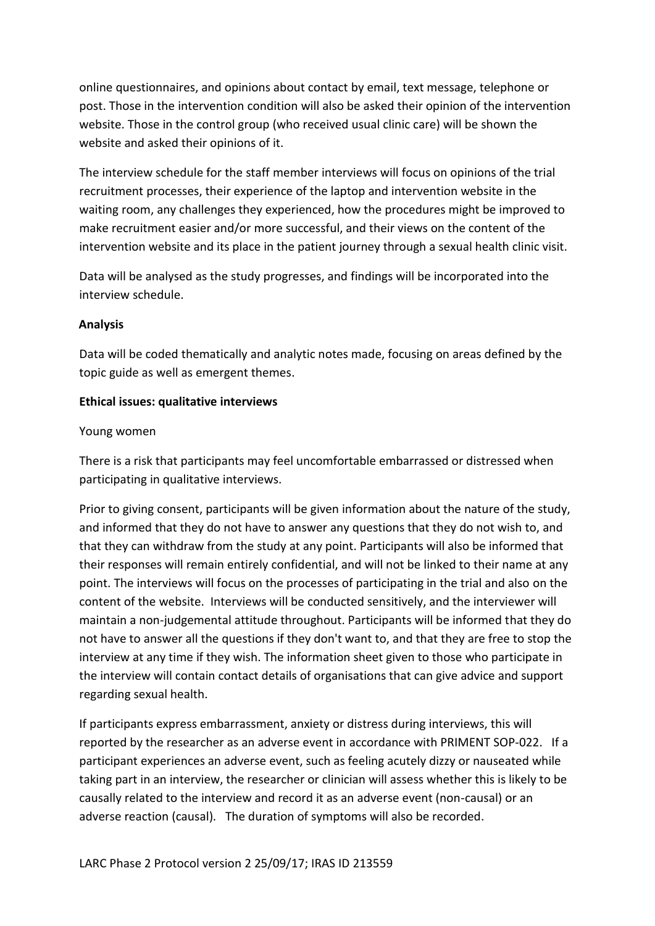online questionnaires, and opinions about contact by email, text message, telephone or post. Those in the intervention condition will also be asked their opinion of the intervention website. Those in the control group (who received usual clinic care) will be shown the website and asked their opinions of it.

The interview schedule for the staff member interviews will focus on opinions of the trial recruitment processes, their experience of the laptop and intervention website in the waiting room, any challenges they experienced, how the procedures might be improved to make recruitment easier and/or more successful, and their views on the content of the intervention website and its place in the patient journey through a sexual health clinic visit.

Data will be analysed as the study progresses, and findings will be incorporated into the interview schedule.

#### **Analysis**

Data will be coded thematically and analytic notes made, focusing on areas defined by the topic guide as well as emergent themes.

#### **Ethical issues: qualitative interviews**

#### Young women

There is a risk that participants may feel uncomfortable embarrassed or distressed when participating in qualitative interviews.

Prior to giving consent, participants will be given information about the nature of the study, and informed that they do not have to answer any questions that they do not wish to, and that they can withdraw from the study at any point. Participants will also be informed that their responses will remain entirely confidential, and will not be linked to their name at any point. The interviews will focus on the processes of participating in the trial and also on the content of the website. Interviews will be conducted sensitively, and the interviewer will maintain a non-judgemental attitude throughout. Participants will be informed that they do not have to answer all the questions if they don't want to, and that they are free to stop the interview at any time if they wish. The information sheet given to those who participate in the interview will contain contact details of organisations that can give advice and support regarding sexual health.

If participants express embarrassment, anxiety or distress during interviews, this will reported by the researcher as an adverse event in accordance with PRIMENT SOP-022. If a participant experiences an adverse event, such as feeling acutely dizzy or nauseated while taking part in an interview, the researcher or clinician will assess whether this is likely to be causally related to the interview and record it as an adverse event (non-causal) or an adverse reaction (causal). The duration of symptoms will also be recorded.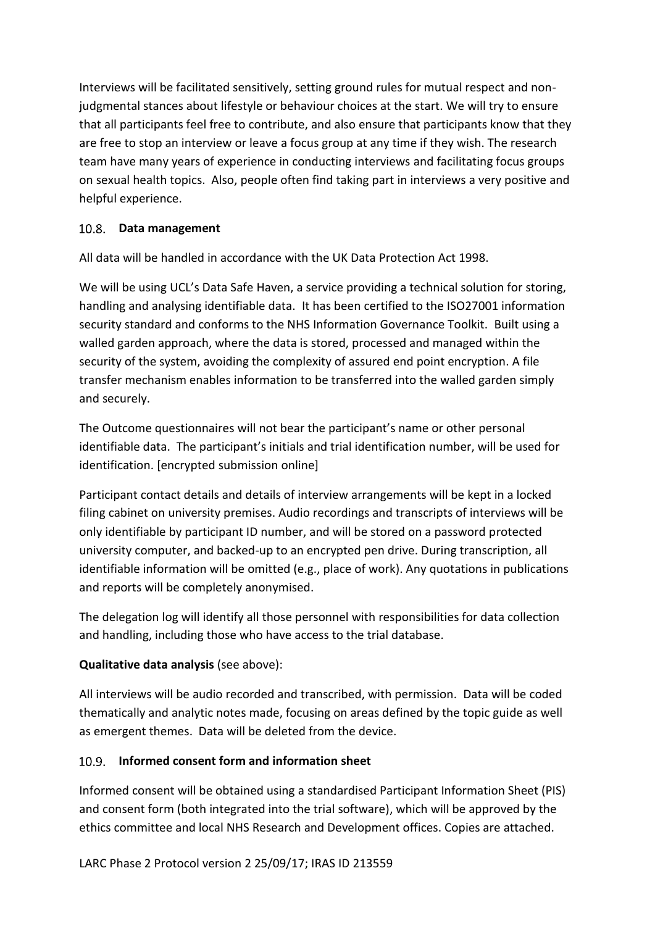Interviews will be facilitated sensitively, setting ground rules for mutual respect and nonjudgmental stances about lifestyle or behaviour choices at the start. We will try to ensure that all participants feel free to contribute, and also ensure that participants know that they are free to stop an interview or leave a focus group at any time if they wish. The research team have many years of experience in conducting interviews and facilitating focus groups on sexual health topics. Also, people often find taking part in interviews a very positive and helpful experience.

# <span id="page-30-0"></span>**Data management**

All data will be handled in accordance with the UK Data Protection Act 1998.

We will be using UCL's Data Safe Haven, a service providing a technical solution for storing, handling and analysing identifiable data. It has been certified to the ISO27001 information security standard and conforms to the NHS Information Governance Toolkit. Built using a walled garden approach, where the data is stored, processed and managed within the security of the system, avoiding the complexity of assured end point encryption. A file transfer mechanism enables information to be transferred into the walled garden simply and securely.

The Outcome questionnaires will not bear the participant's name or other personal identifiable data. The participant's initials and trial identification number, will be used for identification. [encrypted submission online]

Participant contact details and details of interview arrangements will be kept in a locked filing cabinet on university premises. Audio recordings and transcripts of interviews will be only identifiable by participant ID number, and will be stored on a password protected university computer, and backed-up to an encrypted pen drive. During transcription, all identifiable information will be omitted (e.g., place of work). Any quotations in publications and reports will be completely anonymised.

The delegation log will identify all those personnel with responsibilities for data collection and handling, including those who have access to the trial database.

# **Qualitative data analysis** (see above):

All interviews will be audio recorded and transcribed, with permission. Data will be coded thematically and analytic notes made, focusing on areas defined by the topic guide as well as emergent themes. Data will be deleted from the device.

#### <span id="page-30-1"></span>**Informed consent form and information sheet**

Informed consent will be obtained using a standardised Participant Information Sheet (PIS) and consent form (both integrated into the trial software), which will be approved by the ethics committee and local NHS Research and Development offices. Copies are attached.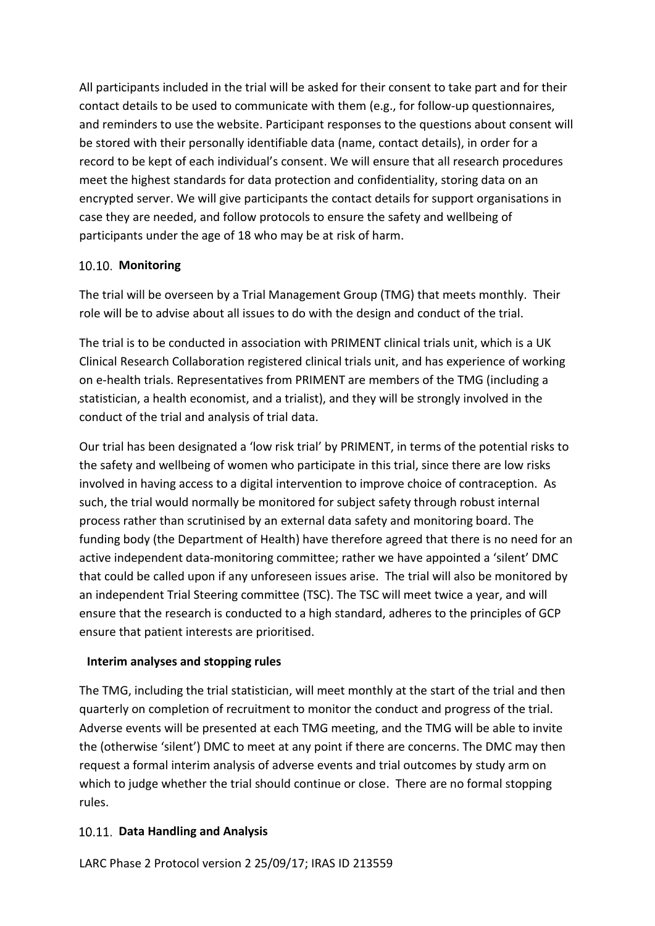All participants included in the trial will be asked for their consent to take part and for their contact details to be used to communicate with them (e.g., for follow-up questionnaires, and reminders to use the website. Participant responses to the questions about consent will be stored with their personally identifiable data (name, contact details), in order for a record to be kept of each individual's consent. We will ensure that all research procedures meet the highest standards for data protection and confidentiality, storing data on an encrypted server. We will give participants the contact details for support organisations in case they are needed, and follow protocols to ensure the safety and wellbeing of participants under the age of 18 who may be at risk of harm.

# <span id="page-31-0"></span>10.10. Monitoring

The trial will be overseen by a Trial Management Group (TMG) that meets monthly. Their role will be to advise about all issues to do with the design and conduct of the trial.

The trial is to be conducted in association with PRIMENT clinical trials unit, which is a UK Clinical Research Collaboration registered clinical trials unit, and has experience of working on e-health trials. Representatives from PRIMENT are members of the TMG (including a statistician, a health economist, and a trialist), and they will be strongly involved in the conduct of the trial and analysis of trial data.

Our trial has been designated a 'low risk trial' by PRIMENT, in terms of the potential risks to the safety and wellbeing of women who participate in this trial, since there are low risks involved in having access to a digital intervention to improve choice of contraception. As such, the trial would normally be monitored for subject safety through robust internal process rather than scrutinised by an external data safety and monitoring board. The funding body (the Department of Health) have therefore agreed that there is no need for an active independent data-monitoring committee; rather we have appointed a 'silent' DMC that could be called upon if any unforeseen issues arise. The trial will also be monitored by an independent Trial Steering committee (TSC). The TSC will meet twice a year, and will ensure that the research is conducted to a high standard, adheres to the principles of GCP ensure that patient interests are prioritised.

#### **Interim analyses and stopping rules**

The TMG, including the trial statistician, will meet monthly at the start of the trial and then quarterly on completion of recruitment to monitor the conduct and progress of the trial. Adverse events will be presented at each TMG meeting, and the TMG will be able to invite the (otherwise 'silent') DMC to meet at any point if there are concerns. The DMC may then request a formal interim analysis of adverse events and trial outcomes by study arm on which to judge whether the trial should continue or close. There are no formal stopping rules.

# <span id="page-31-1"></span>**Data Handling and Analysis**

LARC Phase 2 Protocol version 2 25/09/17; IRAS ID 213559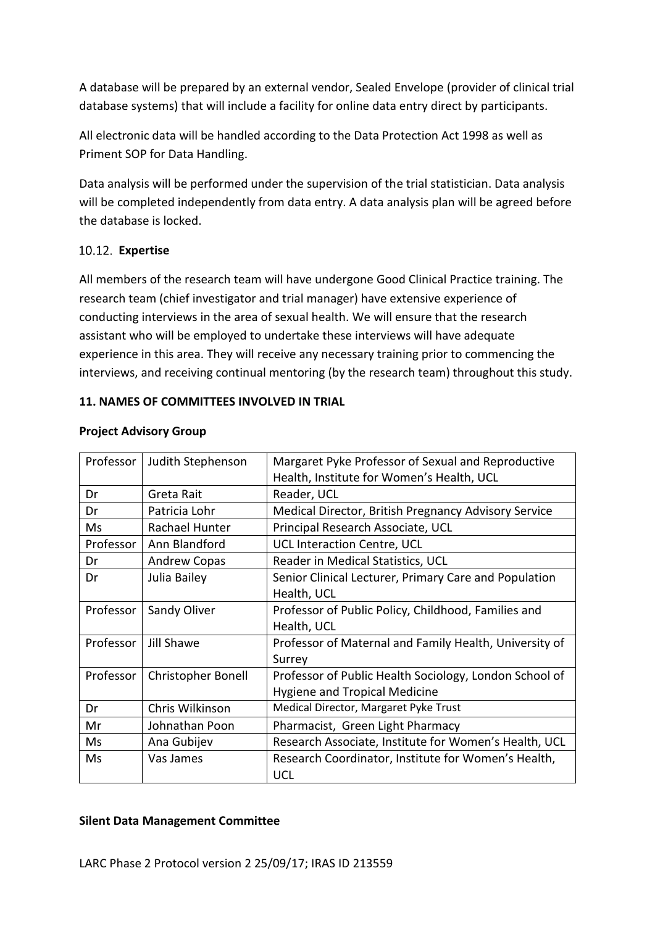A database will be prepared by an external vendor, Sealed Envelope (provider of clinical trial database systems) that will include a facility for online data entry direct by participants.

All electronic data will be handled according to the Data Protection Act 1998 as well as Priment SOP for Data Handling.

Data analysis will be performed under the supervision of the trial statistician. Data analysis will be completed independently from data entry. A data analysis plan will be agreed before the database is locked.

#### <span id="page-32-0"></span>**Expertise**

All members of the research team will have undergone Good Clinical Practice training. The research team (chief investigator and trial manager) have extensive experience of conducting interviews in the area of sexual health. We will ensure that the research assistant who will be employed to undertake these interviews will have adequate experience in this area. They will receive any necessary training prior to commencing the interviews, and receiving continual mentoring (by the research team) throughout this study.

#### <span id="page-32-1"></span>**11. NAMES OF COMMITTEES INVOLVED IN TRIAL**

| Professor | Judith Stephenson         | Margaret Pyke Professor of Sexual and Reproductive     |
|-----------|---------------------------|--------------------------------------------------------|
|           |                           | Health, Institute for Women's Health, UCL              |
| Dr        | Greta Rait                | Reader, UCL                                            |
| Dr        | Patricia Lohr             | Medical Director, British Pregnancy Advisory Service   |
| Ms        | Rachael Hunter            | Principal Research Associate, UCL                      |
| Professor | Ann Blandford             | UCL Interaction Centre, UCL                            |
| Dr        | <b>Andrew Copas</b>       | Reader in Medical Statistics, UCL                      |
| Dr        | Julia Bailey              | Senior Clinical Lecturer, Primary Care and Population  |
|           |                           | Health, UCL                                            |
| Professor | Sandy Oliver              | Professor of Public Policy, Childhood, Families and    |
|           |                           | Health, UCL                                            |
| Professor | Jill Shawe                | Professor of Maternal and Family Health, University of |
|           |                           | Surrey                                                 |
| Professor | <b>Christopher Bonell</b> | Professor of Public Health Sociology, London School of |
|           |                           | <b>Hygiene and Tropical Medicine</b>                   |
| Dr        | Chris Wilkinson           | Medical Director, Margaret Pyke Trust                  |
| Mr        | Johnathan Poon            | Pharmacist, Green Light Pharmacy                       |
| Ms        | Ana Gubijev               | Research Associate, Institute for Women's Health, UCL  |
| Ms        | Vas James                 | Research Coordinator, Institute for Women's Health,    |
|           |                           | <b>UCL</b>                                             |

#### **Project Advisory Group**

#### **Silent Data Management Committee**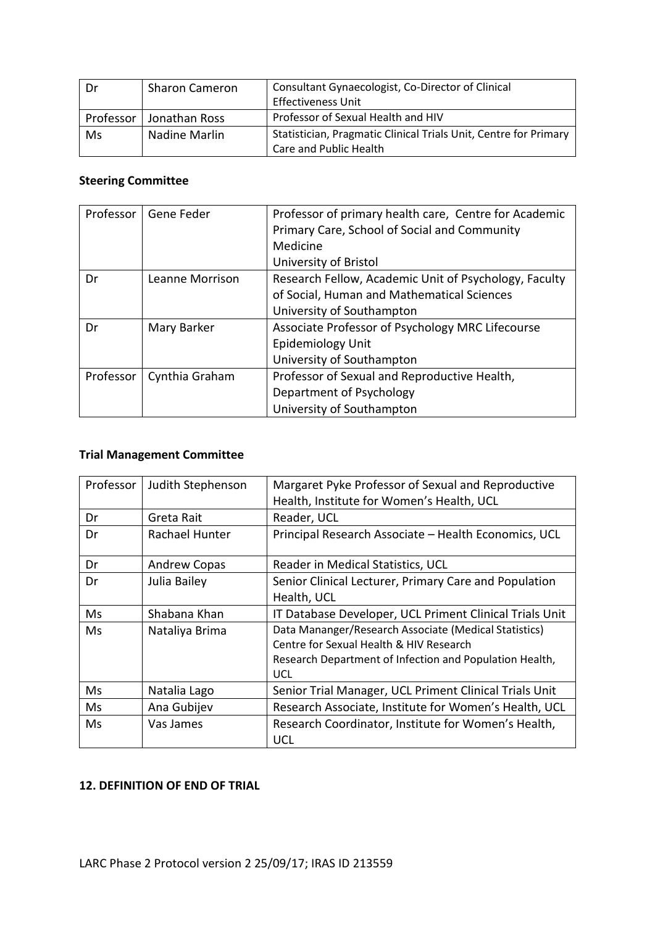| Dr        | <b>Sharon Cameron</b> | Consultant Gynaecologist, Co-Director of Clinical<br><b>Effectiveness Unit</b>             |
|-----------|-----------------------|--------------------------------------------------------------------------------------------|
| Professor | Jonathan Ross         | Professor of Sexual Health and HIV                                                         |
| Ms        | Nadine Marlin         | Statistician, Pragmatic Clinical Trials Unit, Centre for Primary<br>Care and Public Health |

# **Steering Committee**

| Professor | Gene Feder      | Professor of primary health care, Centre for Academic<br>Primary Care, School of Social and Community |
|-----------|-----------------|-------------------------------------------------------------------------------------------------------|
|           |                 | Medicine                                                                                              |
|           |                 | University of Bristol                                                                                 |
| Dr        | Leanne Morrison | Research Fellow, Academic Unit of Psychology, Faculty                                                 |
|           |                 | of Social, Human and Mathematical Sciences                                                            |
|           |                 | University of Southampton                                                                             |
| Dr        | Mary Barker     | Associate Professor of Psychology MRC Lifecourse                                                      |
|           |                 | Epidemiology Unit                                                                                     |
|           |                 | University of Southampton                                                                             |
| Professor | Cynthia Graham  | Professor of Sexual and Reproductive Health,                                                          |
|           |                 | Department of Psychology                                                                              |
|           |                 | University of Southampton                                                                             |

# **Trial Management Committee**

| Professor | Judith Stephenson   | Margaret Pyke Professor of Sexual and Reproductive      |
|-----------|---------------------|---------------------------------------------------------|
|           |                     | Health, Institute for Women's Health, UCL               |
| Dr        | Greta Rait          | Reader, UCL                                             |
| Dr        | Rachael Hunter      | Principal Research Associate - Health Economics, UCL    |
| Dr        | <b>Andrew Copas</b> | Reader in Medical Statistics, UCL                       |
| Dr        | Julia Bailey        | Senior Clinical Lecturer, Primary Care and Population   |
|           |                     | Health, UCL                                             |
| Ms.       | Shabana Khan        | IT Database Developer, UCL Priment Clinical Trials Unit |
| Ms        | Nataliya Brima      | Data Mananger/Research Associate (Medical Statistics)   |
|           |                     | Centre for Sexual Health & HIV Research                 |
|           |                     | Research Department of Infection and Population Health, |
|           |                     | <b>UCL</b>                                              |
| Ms        | Natalia Lago        | Senior Trial Manager, UCL Priment Clinical Trials Unit  |
| Ms        | Ana Gubijev         | Research Associate, Institute for Women's Health, UCL   |
| Ms        | Vas James           | Research Coordinator, Institute for Women's Health,     |
|           |                     | <b>UCL</b>                                              |

#### <span id="page-33-0"></span>**12. DEFINITION OF END OF TRIAL**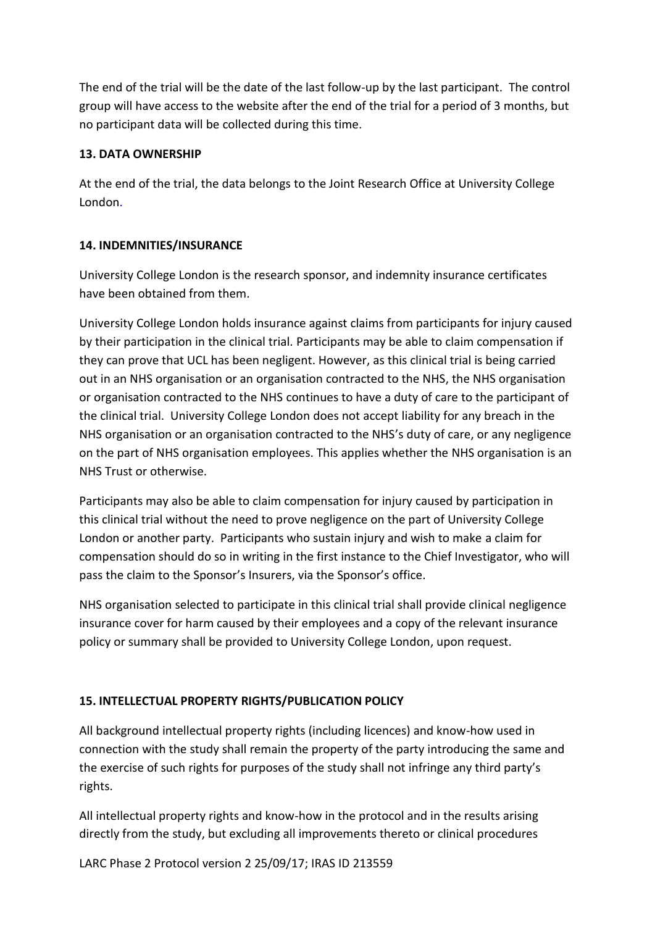The end of the trial will be the date of the last follow-up by the last participant. The control group will have access to the website after the end of the trial for a period of 3 months, but no participant data will be collected during this time.

# <span id="page-34-0"></span>**13. DATA OWNERSHIP**

At the end of the trial, the data belongs to the Joint Research Office at University College London.

# <span id="page-34-1"></span>**14. INDEMNITIES/INSURANCE**

University College London is the research sponsor, and indemnity insurance certificates have been obtained from them.

University College London holds insurance against claims from participants for injury caused by their participation in the clinical trial*.* Participants may be able to claim compensation if they can prove that UCL has been negligent. However, as this clinical trial is being carried out in an NHS organisation or an organisation contracted to the NHS, the NHS organisation or organisation contracted to the NHS continues to have a duty of care to the participant of the clinical trial. University College London does not accept liability for any breach in the NHS organisation or an organisation contracted to the NHS's duty of care, or any negligence on the part of NHS organisation employees. This applies whether the NHS organisation is an NHS Trust or otherwise.

Participants may also be able to claim compensation for injury caused by participation in this clinical trial without the need to prove negligence on the part of University College London or another party. Participants who sustain injury and wish to make a claim for compensation should do so in writing in the first instance to the Chief Investigator, who will pass the claim to the Sponsor's Insurers, via the Sponsor's office.

NHS organisation selected to participate in this clinical trial shall provide clinical negligence insurance cover for harm caused by their employees and a copy of the relevant insurance policy or summary shall be provided to University College London, upon request.

# <span id="page-34-2"></span>**15. INTELLECTUAL PROPERTY RIGHTS/PUBLICATION POLICY**

All background intellectual property rights (including licences) and know-how used in connection with the study shall remain the property of the party introducing the same and the exercise of such rights for purposes of the study shall not infringe any third party's rights.

All intellectual property rights and know-how in the protocol and in the results arising directly from the study, but excluding all improvements thereto or clinical procedures

LARC Phase 2 Protocol version 2 25/09/17; IRAS ID 213559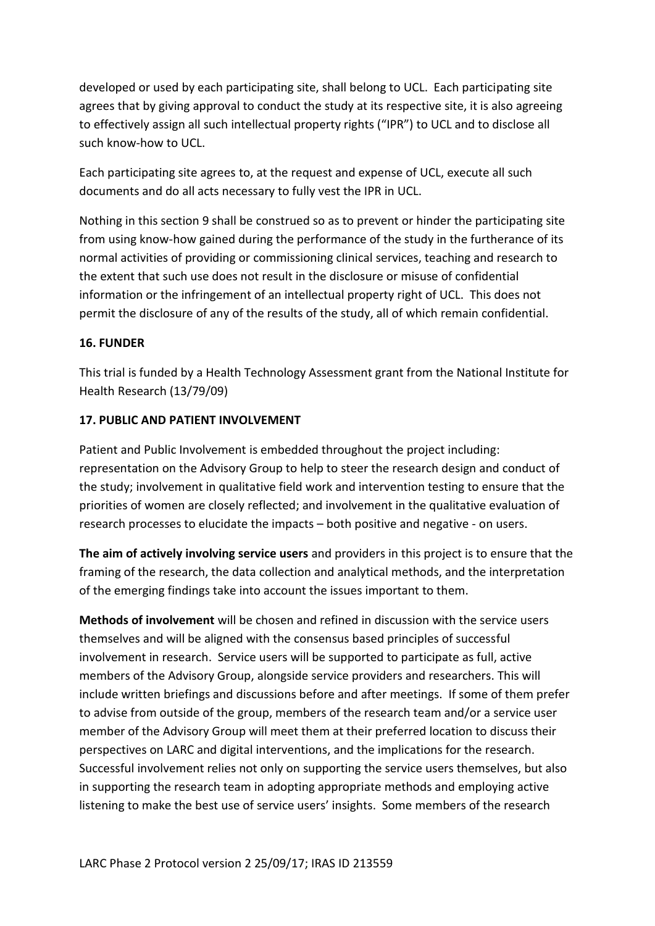developed or used by each participating site, shall belong to UCL. Each participating site agrees that by giving approval to conduct the study at its respective site, it is also agreeing to effectively assign all such intellectual property rights ("IPR") to UCL and to disclose all such know-how to UCL.

Each participating site agrees to, at the request and expense of UCL, execute all such documents and do all acts necessary to fully vest the IPR in UCL.

Nothing in this section 9 shall be construed so as to prevent or hinder the participating site from using know-how gained during the performance of the study in the furtherance of its normal activities of providing or commissioning clinical services, teaching and research to the extent that such use does not result in the disclosure or misuse of confidential information or the infringement of an intellectual property right of UCL. This does not permit the disclosure of any of the results of the study, all of which remain confidential.

# <span id="page-35-0"></span>**16. FUNDER**

This trial is funded by a Health Technology Assessment grant from the National Institute for Health Research (13/79/09)

#### <span id="page-35-1"></span>**17. PUBLIC AND PATIENT INVOLVEMENT**

Patient and Public Involvement is embedded throughout the project including: representation on the Advisory Group to help to steer the research design and conduct of the study; involvement in qualitative field work and intervention testing to ensure that the priorities of women are closely reflected; and involvement in the qualitative evaluation of research processes to elucidate the impacts – both positive and negative - on users.

**The aim of actively involving service users** and providers in this project is to ensure that the framing of the research, the data collection and analytical methods, and the interpretation of the emerging findings take into account the issues important to them.

**Methods of involvement** will be chosen and refined in discussion with the service users themselves and will be aligned with the consensus based principles of successful involvement in research. Service users will be supported to participate as full, active members of the Advisory Group, alongside service providers and researchers. This will include written briefings and discussions before and after meetings. If some of them prefer to advise from outside of the group, members of the research team and/or a service user member of the Advisory Group will meet them at their preferred location to discuss their perspectives on LARC and digital interventions, and the implications for the research. Successful involvement relies not only on supporting the service users themselves, but also in supporting the research team in adopting appropriate methods and employing active listening to make the best use of service users' insights. Some members of the research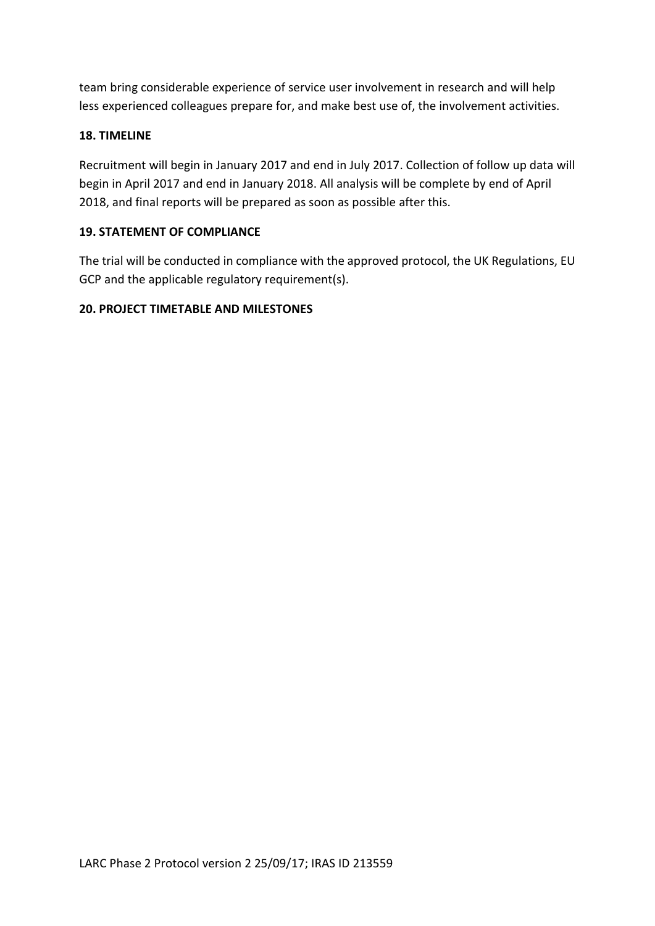team bring considerable experience of service user involvement in research and will help less experienced colleagues prepare for, and make best use of, the involvement activities.

# <span id="page-36-0"></span>**18. TIMELINE**

Recruitment will begin in January 2017 and end in July 2017. Collection of follow up data will begin in April 2017 and end in January 2018. All analysis will be complete by end of April 2018, and final reports will be prepared as soon as possible after this.

#### <span id="page-36-1"></span>**19. STATEMENT OF COMPLIANCE**

The trial will be conducted in compliance with the approved protocol, the UK Regulations, EU GCP and the applicable regulatory requirement(s).

# <span id="page-36-2"></span>**20. PROJECT TIMETABLE AND MILESTONES**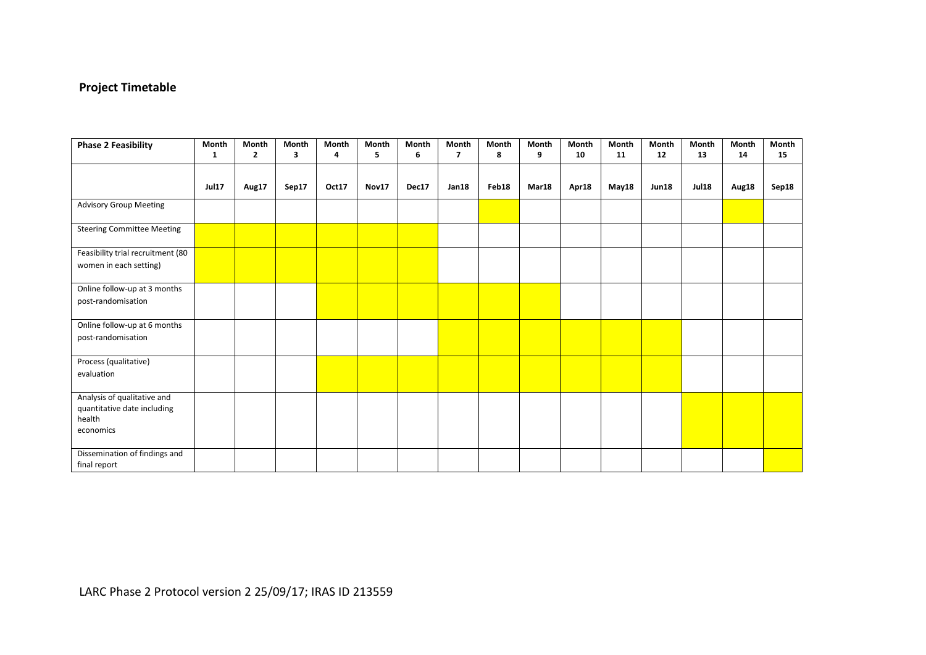# **Project Timetable**

| <b>Phase 2 Feasibility</b>                                                        | Month<br>1   | Month<br>$\mathbf{2}$ | Month<br>3 | Month<br>4 | Month<br>5 | Month<br>6 | Month<br>$\overline{7}$ | Month<br>8 | Month<br>9 | Month<br>10 | Month<br>11 | Month<br>12  | Month<br>13  | Month<br>14 | Month<br>15 |
|-----------------------------------------------------------------------------------|--------------|-----------------------|------------|------------|------------|------------|-------------------------|------------|------------|-------------|-------------|--------------|--------------|-------------|-------------|
|                                                                                   | <b>Jul17</b> | Aug17                 | Sep17      | Oct17      | Nov17      | Dec17      | Jan18                   | Feb18      | Mar18      | Apr18       | May18       | <b>Jun18</b> | <b>Jul18</b> | Aug18       | Sep18       |
| <b>Advisory Group Meeting</b>                                                     |              |                       |            |            |            |            |                         |            |            |             |             |              |              |             |             |
| <b>Steering Committee Meeting</b>                                                 |              |                       |            |            |            |            |                         |            |            |             |             |              |              |             |             |
| Feasibility trial recruitment (80<br>women in each setting)                       |              |                       |            |            |            |            |                         |            |            |             |             |              |              |             |             |
| Online follow-up at 3 months<br>post-randomisation                                |              |                       |            |            |            |            |                         |            |            |             |             |              |              |             |             |
| Online follow-up at 6 months<br>post-randomisation                                |              |                       |            |            |            |            |                         |            |            |             |             |              |              |             |             |
| Process (qualitative)<br>evaluation                                               |              |                       |            |            |            |            |                         |            |            |             |             |              |              |             |             |
| Analysis of qualitative and<br>quantitative date including<br>health<br>economics |              |                       |            |            |            |            |                         |            |            |             |             |              |              |             |             |
| Dissemination of findings and<br>final report                                     |              |                       |            |            |            |            |                         |            |            |             |             |              |              |             |             |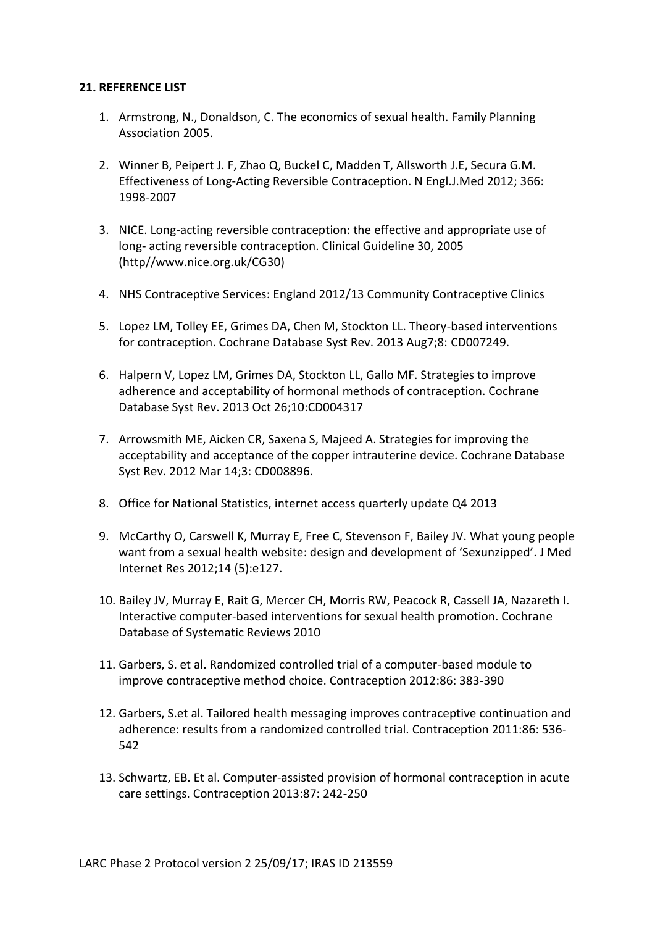#### <span id="page-38-0"></span>**21. REFERENCE LIST**

- 1. Armstrong, N., Donaldson, C. The economics of sexual health. Family Planning Association 2005.
- 2. Winner B, Peipert J. F, Zhao Q, Buckel C, Madden T, Allsworth J.E, Secura G.M. Effectiveness of Long-Acting Reversible Contraception. N Engl.J.Med 2012; 366: 1998-2007
- 3. NICE. Long-acting reversible contraception: the effective and appropriate use of long- acting reversible contraception. Clinical Guideline 30, 2005 (http//www.nice.org.uk/CG30)
- 4. NHS Contraceptive Services: England 2012/13 Community Contraceptive Clinics
- 5. Lopez LM, Tolley EE, Grimes DA, Chen M, Stockton LL. Theory-based interventions for contraception. Cochrane Database Syst Rev. 2013 Aug7;8: CD007249.
- 6. Halpern V, Lopez LM, Grimes DA, Stockton LL, Gallo MF. Strategies to improve adherence and acceptability of hormonal methods of contraception. Cochrane Database Syst Rev. 2013 Oct 26;10:CD004317
- 7. Arrowsmith ME, Aicken CR, Saxena S, Majeed A. Strategies for improving the acceptability and acceptance of the copper intrauterine device. Cochrane Database Syst Rev. 2012 Mar 14;3: CD008896.
- 8. Office for National Statistics, internet access quarterly update Q4 2013
- 9. McCarthy O, Carswell K, Murray E, Free C, Stevenson F, Bailey JV. What young people want from a sexual health website: design and development of 'Sexunzipped'. J Med Internet Res 2012;14 (5):e127.
- 10. Bailey JV, Murray E, Rait G, Mercer CH, Morris RW, Peacock R, Cassell JA, Nazareth I. Interactive computer-based interventions for sexual health promotion. Cochrane Database of Systematic Reviews 2010
- 11. Garbers, S. et al. Randomized controlled trial of a computer-based module to improve contraceptive method choice. Contraception 2012:86: 383-390
- 12. Garbers, S.et al. Tailored health messaging improves contraceptive continuation and adherence: results from a randomized controlled trial. Contraception 2011:86: 536- 542
- 13. Schwartz, EB. Et al. Computer-assisted provision of hormonal contraception in acute care settings. Contraception 2013:87: 242-250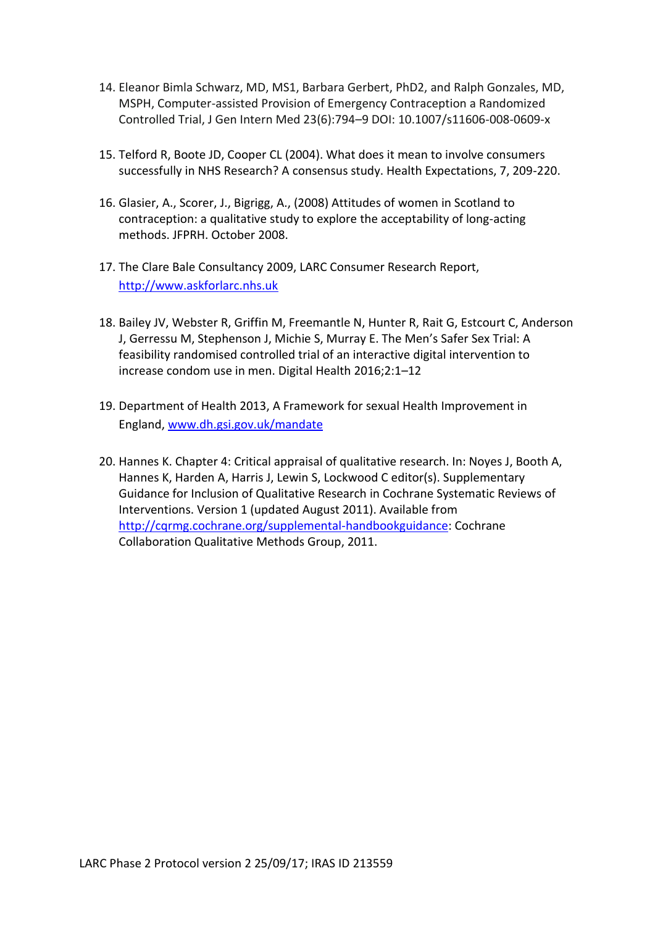- 14. Eleanor Bimla Schwarz, MD, MS1, Barbara Gerbert, PhD2, and Ralph Gonzales, MD, MSPH, Computer-assisted Provision of Emergency Contraception a Randomized Controlled Trial, J Gen Intern Med 23(6):794–9 DOI: 10.1007/s11606-008-0609-x
- 15. Telford R, Boote JD, Cooper CL (2004). What does it mean to involve consumers successfully in NHS Research? A consensus study. Health Expectations, 7, 209-220.
- 16. Glasier, A., Scorer, J., Bigrigg, A., (2008) Attitudes of women in Scotland to contraception: a qualitative study to explore the acceptability of long-acting methods. JFPRH. October 2008.
- 17. The Clare Bale Consultancy 2009, LARC Consumer Research Report, [http://www.askforlarc.nhs.uk](http://www.askforlarc.nhs.uk/)
- 18. Bailey JV, Webster R, Griffin M, Freemantle N, Hunter R, Rait G, Estcourt C, Anderson J, Gerressu M, Stephenson J, Michie S, Murray E. The Men's Safer Sex Trial: A feasibility randomised controlled trial of an interactive digital intervention to increase condom use in men. Digital Health 2016;2:1–12
- 19. Department of Health 2013, A Framework for sexual Health Improvement in England, [www.dh.gsi.gov.uk/mandate](http://www.dh.gsi.gov.uk/mandate)
- 20. Hannes K. Chapter 4: Critical appraisal of qualitative research. In: Noyes J, Booth A, Hannes K, Harden A, Harris J, Lewin S, Lockwood C editor(s). Supplementary Guidance for Inclusion of Qualitative Research in Cochrane Systematic Reviews of Interventions. Version 1 (updated August 2011). Available from [http://cqrmg.cochrane.org/supplemental-handbookguidance:](http://cqrmg.cochrane.org/supplemental-handbookguidance) Cochrane Collaboration Qualitative Methods Group, 2011.